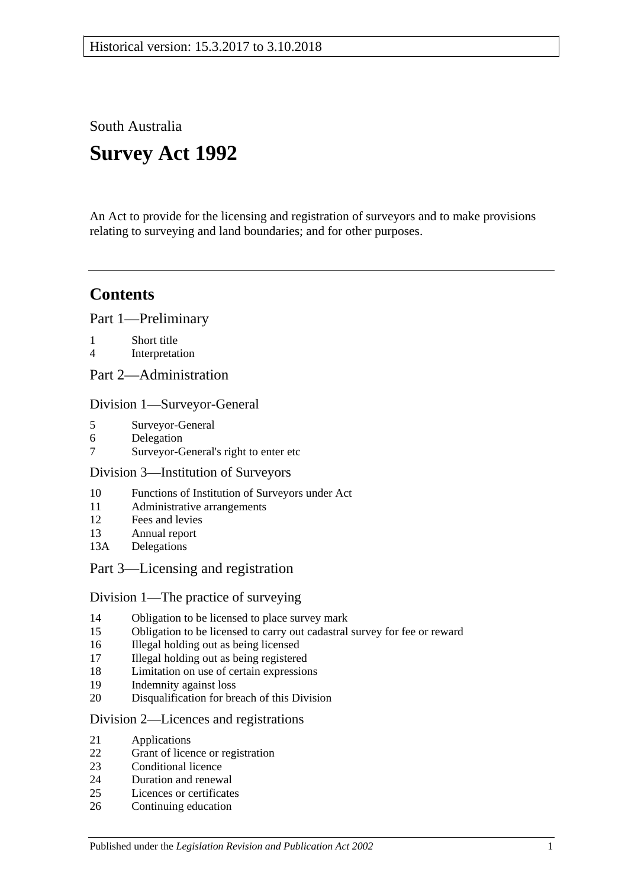South Australia

# **Survey Act 1992**

An Act to provide for the licensing and registration of surveyors and to make provisions relating to surveying and land boundaries; and for other purposes.

# **Contents**

[Part 1—Preliminary](#page-2-0)

- 1 [Short title](#page-2-1)
- 4 [Interpretation](#page-2-2)
- [Part 2—Administration](#page-4-0)

## [Division 1—Surveyor-General](#page-4-1)

- 5 [Surveyor-General](#page-4-2)
- 6 [Delegation](#page-5-0)
- 7 [Surveyor-General's right to enter etc](#page-5-1)

## [Division 3—Institution of Surveyors](#page-5-2)

- 10 [Functions of Institution of Surveyors under Act](#page-5-3)
- 11 [Administrative arrangements](#page-6-0)
- 12 [Fees and levies](#page-6-1)
- 13 [Annual report](#page-6-2)
- 13A [Delegations](#page-7-0)

# [Part 3—Licensing and registration](#page-7-1)

## [Division 1—The practice of surveying](#page-7-2)

- 14 [Obligation to be licensed to place survey mark](#page-7-3)<br>15 Obligation to be licensed to carry out cadastral
- [Obligation to be licensed to carry out cadastral survey for fee or reward](#page-7-4)
- 16 [Illegal holding out as being licensed](#page-7-5)
- 17 [Illegal holding out as being registered](#page-8-0)
- 18 [Limitation on use of certain expressions](#page-8-1)
- 19 [Indemnity against loss](#page-8-2)
- 20 [Disqualification for breach of this Division](#page-9-0)

## [Division 2—Licences and registrations](#page-9-1)

- 21 [Applications](#page-9-2)
- 22 [Grant of licence or registration](#page-9-3)
- 23 [Conditional licence](#page-10-0)
- 24 [Duration and renewal](#page-10-1)
- 25 [Licences or certificates](#page-10-2)
- 26 [Continuing education](#page-10-3)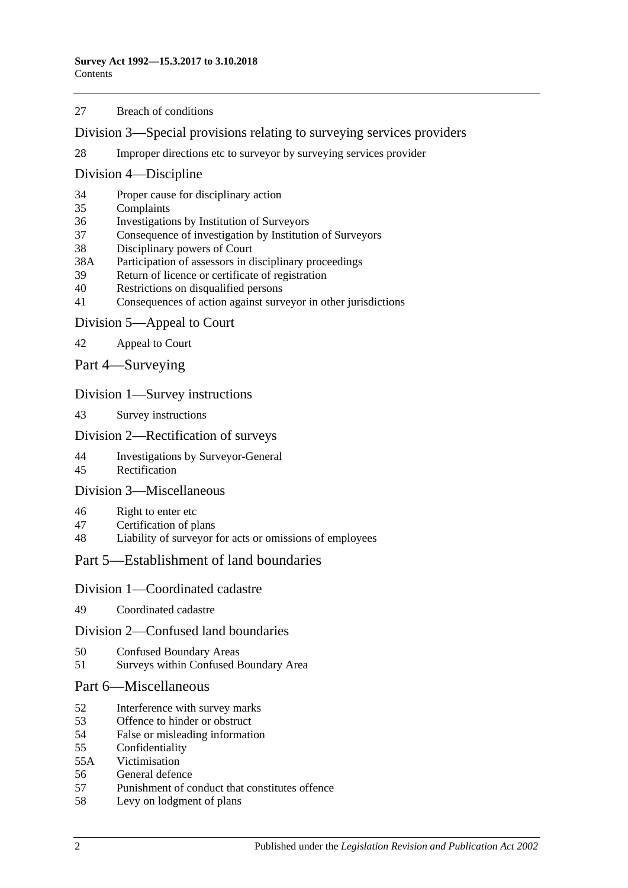#### [Breach of conditions](#page-11-0)

[Division 3—Special provisions relating to surveying services providers](#page-11-1)

[Improper directions etc to surveyor by surveying services provider](#page-11-2)

#### [Division 4—Discipline](#page-11-3)

- [Proper cause for disciplinary action](#page-11-4)
- [Complaints](#page-12-0)
- [Investigations by Institution of Surveyors](#page-12-1)
- [Consequence of investigation by Institution of Surveyors](#page-13-0)
- [Disciplinary powers of Court](#page-13-1)
- 38A [Participation of assessors in disciplinary proceedings](#page-14-0)
- [Return of licence or certificate of registration](#page-14-1)
- [Restrictions on disqualified persons](#page-15-0)
- [Consequences of action against surveyor in other jurisdictions](#page-15-1)

#### [Division 5—Appeal to Court](#page-15-2)

- [Appeal to Court](#page-15-3)
- [Part 4—Surveying](#page-16-0)

#### [Division 1—Survey instructions](#page-16-1)

[Survey instructions](#page-16-2)

#### [Division 2—Rectification of surveys](#page-17-0)

- [Investigations by Surveyor-General](#page-17-1)<br>45 Rectification
- [Rectification](#page-18-0)

#### [Division 3—Miscellaneous](#page-18-1)

- [Right to enter etc](#page-18-2)
- [Certification of plans](#page-19-0)
- [Liability of surveyor for acts or omissions of employees](#page-19-1)

## [Part 5—Establishment of land boundaries](#page-19-2)

#### [Division 1—Coordinated cadastre](#page-19-3)

[Coordinated cadastre](#page-19-4)

#### [Division 2—Confused land boundaries](#page-20-0)

- [Confused Boundary Areas](#page-20-1)
- Surveys [within Confused Boundary Area](#page-20-2)

#### [Part 6—Miscellaneous](#page-22-0)

- [Interference with survey marks](#page-22-1)
- [Offence to hinder or obstruct](#page-22-2)
- [False or misleading information](#page-23-0)
- [Confidentiality](#page-23-1)
- 55A [Victimisation](#page-23-2)<br>56 General defen
- [General defence](#page-24-0)
- [Punishment of conduct that constitutes offence](#page-24-1)
- [Levy on lodgment of plans](#page-24-2)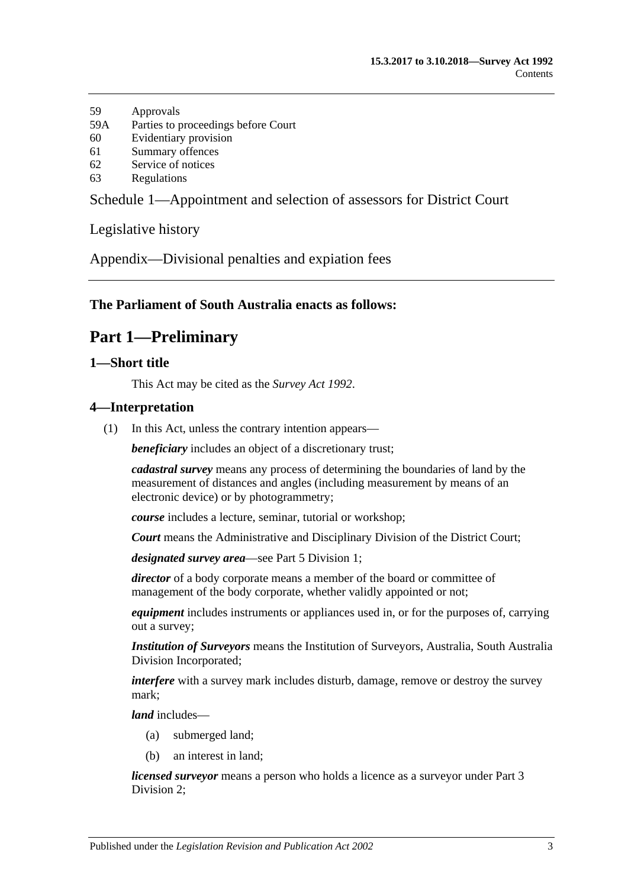- 59 [Approvals](#page-24-3)
- 59A [Parties to proceedings before Court](#page-24-4)
- 60 [Evidentiary provision](#page-24-5)
- 61 [Summary offences](#page-24-6)
- 62 [Service of notices](#page-25-0)
- 63 [Regulations](#page-25-1)

[Schedule 1—Appointment and selection of assessors for District Court](#page-25-2)

[Legislative history](#page-27-0)

[Appendix—Divisional penalties and expiation fees](#page-32-0)

#### <span id="page-2-0"></span>**The Parliament of South Australia enacts as follows:**

# **Part 1—Preliminary**

#### <span id="page-2-1"></span>**1—Short title**

This Act may be cited as the *Survey Act 1992*.

#### <span id="page-2-2"></span>**4—Interpretation**

(1) In this Act, unless the contrary intention appears—

*beneficiary* includes an object of a discretionary trust;

*cadastral survey* means any process of determining the boundaries of land by the measurement of distances and angles (including measurement by means of an electronic device) or by photogrammetry;

*course* includes a lecture, seminar, tutorial or workshop;

*Court* means the Administrative and Disciplinary Division of the District Court;

*designated survey area*—see [Part 5 Division 1;](#page-19-3)

director of a body corporate means a member of the board or committee of management of the body corporate, whether validly appointed or not;

*equipment* includes instruments or appliances used in, or for the purposes of, carrying out a survey;

*Institution of Surveyors* means the Institution of Surveyors, Australia, South Australia Division Incorporated;

*interfere* with a survey mark includes disturb, damage, remove or destroy the survey mark;

*land* includes—

- (a) submerged land;
- (b) an interest in land;

*licensed surveyor* means a person who holds a licence as a surveyor under [Part 3](#page-9-1)  [Division 2;](#page-9-1)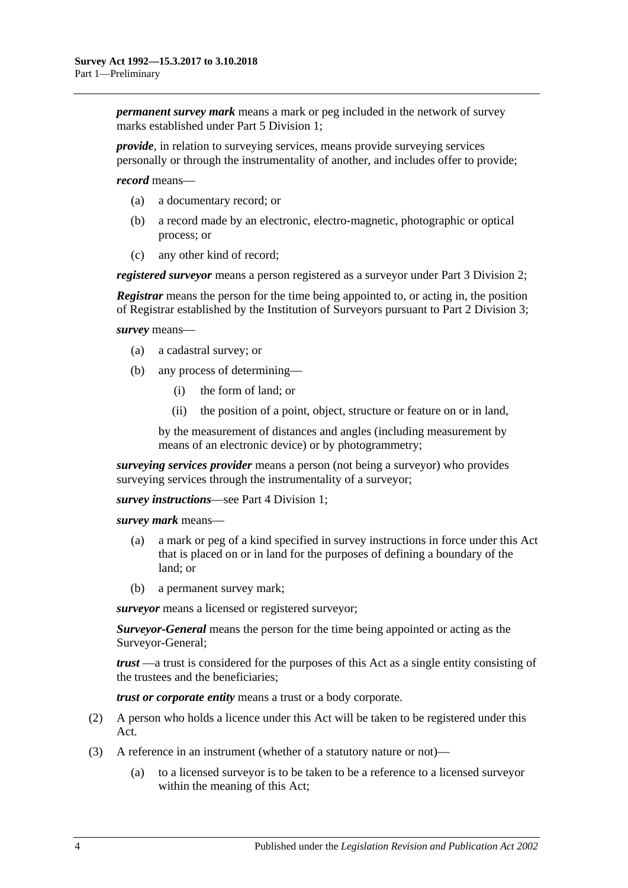*permanent survey mark* means a mark or peg included in the network of survey marks established under [Part 5 Division 1;](#page-19-3)

*provide*, in relation to surveying services, means provide surveying services personally or through the instrumentality of another, and includes offer to provide;

*record* means—

- (a) a documentary record; or
- (b) a record made by an electronic, electro-magnetic, photographic or optical process; or
- (c) any other kind of record;

*registered surveyor* means a person registered as a surveyor under Part 3 Division 2:

*Registrar* means the person for the time being appointed to, or acting in, the position of Registrar established by the Institution of Surveyors pursuant to [Part 2 Division 3;](#page-5-2)

*survey* means—

- (a) a cadastral survey; or
- (b) any process of determining—
	- (i) the form of land; or
	- (ii) the position of a point, object, structure or feature on or in land,

by the measurement of distances and angles (including measurement by means of an electronic device) or by photogrammetry;

*surveying services provider* means a person (not being a surveyor) who provides surveying services through the instrumentality of a surveyor:

*survey instructions*—see [Part 4 Division 1;](#page-16-1)

*survey mark* means—

- (a) a mark or peg of a kind specified in survey instructions in force under this Act that is placed on or in land for the purposes of defining a boundary of the land; or
- (b) a permanent survey mark;

*surveyor* means a licensed or registered surveyor;

*Surveyor-General* means the person for the time being appointed or acting as the Surveyor-General;

*trust* —a trust is considered for the purposes of this Act as a single entity consisting of the trustees and the beneficiaries;

*trust or corporate entity* means a trust or a body corporate.

- (2) A person who holds a licence under this Act will be taken to be registered under this Act.
- (3) A reference in an instrument (whether of a statutory nature or not)—
	- (a) to a licensed surveyor is to be taken to be a reference to a licensed surveyor within the meaning of this Act;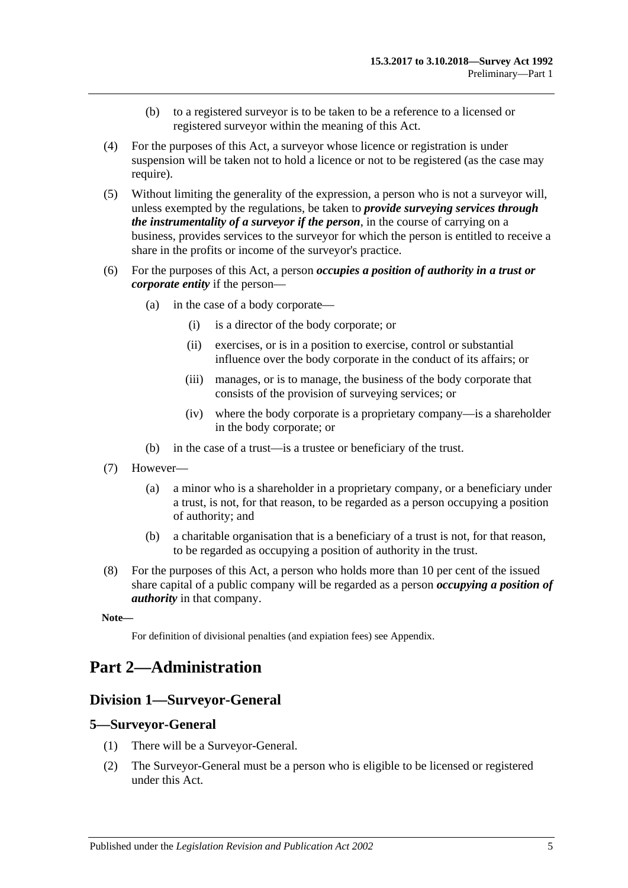- (b) to a registered surveyor is to be taken to be a reference to a licensed or registered surveyor within the meaning of this Act.
- (4) For the purposes of this Act, a surveyor whose licence or registration is under suspension will be taken not to hold a licence or not to be registered (as the case may require).
- (5) Without limiting the generality of the expression, a person who is not a surveyor will, unless exempted by the regulations, be taken to *provide surveying services through the instrumentality of a surveyor if the person*, in the course of carrying on a business, provides services to the surveyor for which the person is entitled to receive a share in the profits or income of the surveyor's practice.
- (6) For the purposes of this Act, a person *occupies a position of authority in a trust or corporate entity* if the person—
	- (a) in the case of a body corporate—
		- (i) is a director of the body corporate; or
		- (ii) exercises, or is in a position to exercise, control or substantial influence over the body corporate in the conduct of its affairs; or
		- (iii) manages, or is to manage, the business of the body corporate that consists of the provision of surveying services; or
		- (iv) where the body corporate is a proprietary company—is a shareholder in the body corporate; or
	- (b) in the case of a trust—is a trustee or beneficiary of the trust.
- (7) However—
	- (a) a minor who is a shareholder in a proprietary company, or a beneficiary under a trust, is not, for that reason, to be regarded as a person occupying a position of authority; and
	- (b) a charitable organisation that is a beneficiary of a trust is not, for that reason, to be regarded as occupying a position of authority in the trust.
- (8) For the purposes of this Act, a person who holds more than 10 per cent of the issued share capital of a public company will be regarded as a person *occupying a position of authority* in that company.

**Note—**

For definition of divisional penalties (and expiation fees) see Appendix.

# <span id="page-4-1"></span><span id="page-4-0"></span>**Part 2—Administration**

## **Division 1—Surveyor-General**

#### <span id="page-4-2"></span>**5—Surveyor-General**

- (1) There will be a Surveyor-General.
- (2) The Surveyor-General must be a person who is eligible to be licensed or registered under this Act.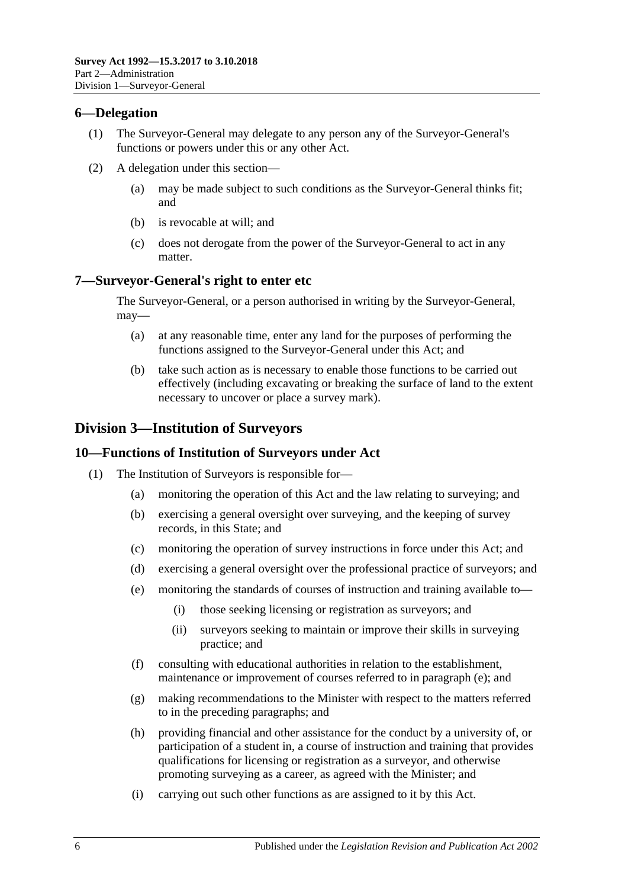#### <span id="page-5-0"></span>**6—Delegation**

- (1) The Surveyor-General may delegate to any person any of the Surveyor-General's functions or powers under this or any other Act.
- (2) A delegation under this section—
	- (a) may be made subject to such conditions as the Surveyor-General thinks fit; and
	- (b) is revocable at will; and
	- (c) does not derogate from the power of the Surveyor-General to act in any matter.

#### <span id="page-5-1"></span>**7—Surveyor-General's right to enter etc**

The Surveyor-General, or a person authorised in writing by the Surveyor-General, may—

- (a) at any reasonable time, enter any land for the purposes of performing the functions assigned to the Surveyor-General under this Act; and
- (b) take such action as is necessary to enable those functions to be carried out effectively (including excavating or breaking the surface of land to the extent necessary to uncover or place a survey mark).

# <span id="page-5-2"></span>**Division 3—Institution of Surveyors**

#### <span id="page-5-3"></span>**10—Functions of Institution of Surveyors under Act**

- <span id="page-5-4"></span>(1) The Institution of Surveyors is responsible for—
	- (a) monitoring the operation of this Act and the law relating to surveying; and
	- (b) exercising a general oversight over surveying, and the keeping of survey records, in this State; and
	- (c) monitoring the operation of survey instructions in force under this Act; and
	- (d) exercising a general oversight over the professional practice of surveyors; and
	- (e) monitoring the standards of courses of instruction and training available to—
		- (i) those seeking licensing or registration as surveyors; and
		- (ii) surveyors seeking to maintain or improve their skills in surveying practice; and
	- (f) consulting with educational authorities in relation to the establishment, maintenance or improvement of courses referred to in [paragraph](#page-5-4) (e); and
	- (g) making recommendations to the Minister with respect to the matters referred to in the preceding paragraphs; and
	- (h) providing financial and other assistance for the conduct by a university of, or participation of a student in, a course of instruction and training that provides qualifications for licensing or registration as a surveyor, and otherwise promoting surveying as a career, as agreed with the Minister; and
	- (i) carrying out such other functions as are assigned to it by this Act.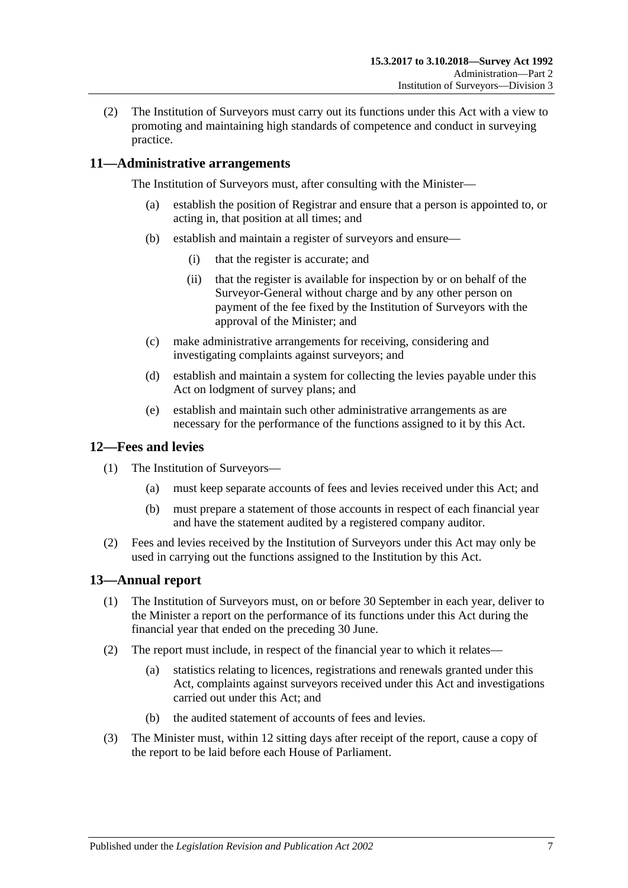(2) The Institution of Surveyors must carry out its functions under this Act with a view to promoting and maintaining high standards of competence and conduct in surveying practice.

## <span id="page-6-0"></span>**11—Administrative arrangements**

The Institution of Surveyors must, after consulting with the Minister—

- (a) establish the position of Registrar and ensure that a person is appointed to, or acting in, that position at all times; and
- (b) establish and maintain a register of surveyors and ensure—
	- (i) that the register is accurate; and
	- (ii) that the register is available for inspection by or on behalf of the Surveyor-General without charge and by any other person on payment of the fee fixed by the Institution of Surveyors with the approval of the Minister; and
- (c) make administrative arrangements for receiving, considering and investigating complaints against surveyors; and
- (d) establish and maintain a system for collecting the levies payable under this Act on lodgment of survey plans; and
- (e) establish and maintain such other administrative arrangements as are necessary for the performance of the functions assigned to it by this Act.

#### <span id="page-6-1"></span>**12—Fees and levies**

- (1) The Institution of Surveyors—
	- (a) must keep separate accounts of fees and levies received under this Act; and
	- (b) must prepare a statement of those accounts in respect of each financial year and have the statement audited by a registered company auditor.
- (2) Fees and levies received by the Institution of Surveyors under this Act may only be used in carrying out the functions assigned to the Institution by this Act.

## <span id="page-6-2"></span>**13—Annual report**

- (1) The Institution of Surveyors must, on or before 30 September in each year, deliver to the Minister a report on the performance of its functions under this Act during the financial year that ended on the preceding 30 June.
- (2) The report must include, in respect of the financial year to which it relates—
	- (a) statistics relating to licences, registrations and renewals granted under this Act, complaints against surveyors received under this Act and investigations carried out under this Act; and
	- (b) the audited statement of accounts of fees and levies.
- (3) The Minister must, within 12 sitting days after receipt of the report, cause a copy of the report to be laid before each House of Parliament.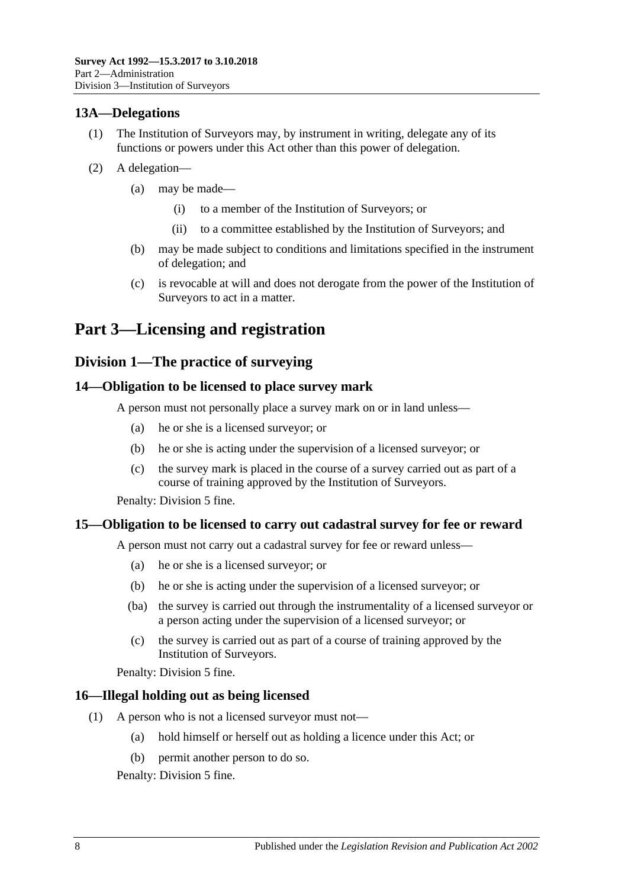## <span id="page-7-0"></span>**13A—Delegations**

- (1) The Institution of Surveyors may, by instrument in writing, delegate any of its functions or powers under this Act other than this power of delegation.
- (2) A delegation—
	- (a) may be made—
		- (i) to a member of the Institution of Surveyors; or
		- (ii) to a committee established by the Institution of Surveyors; and
	- (b) may be made subject to conditions and limitations specified in the instrument of delegation; and
	- (c) is revocable at will and does not derogate from the power of the Institution of Surveyors to act in a matter.

# <span id="page-7-1"></span>**Part 3—Licensing and registration**

# <span id="page-7-2"></span>**Division 1—The practice of surveying**

#### <span id="page-7-3"></span>**14—Obligation to be licensed to place survey mark**

A person must not personally place a survey mark on or in land unless—

- (a) he or she is a licensed surveyor; or
- (b) he or she is acting under the supervision of a licensed surveyor; or
- (c) the survey mark is placed in the course of a survey carried out as part of a course of training approved by the Institution of Surveyors.

Penalty: Division 5 fine.

## <span id="page-7-4"></span>**15—Obligation to be licensed to carry out cadastral survey for fee or reward**

A person must not carry out a cadastral survey for fee or reward unless—

- (a) he or she is a licensed surveyor; or
- (b) he or she is acting under the supervision of a licensed surveyor; or
- (ba) the survey is carried out through the instrumentality of a licensed surveyor or a person acting under the supervision of a licensed surveyor; or
- (c) the survey is carried out as part of a course of training approved by the Institution of Surveyors.

Penalty: Division 5 fine.

#### <span id="page-7-5"></span>**16—Illegal holding out as being licensed**

- (1) A person who is not a licensed surveyor must not—
	- (a) hold himself or herself out as holding a licence under this Act; or
	- (b) permit another person to do so.

Penalty: Division 5 fine.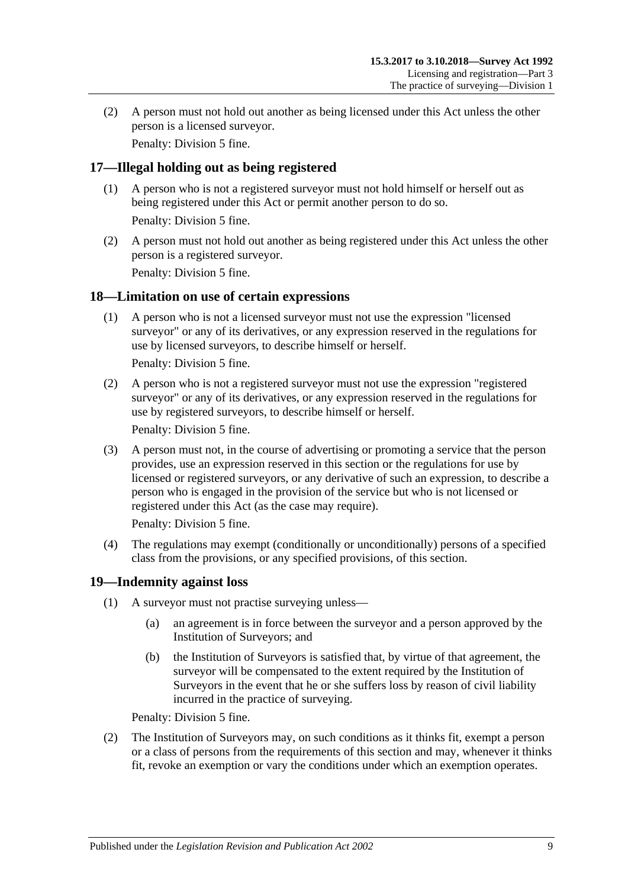(2) A person must not hold out another as being licensed under this Act unless the other person is a licensed surveyor.

Penalty: Division 5 fine.

# <span id="page-8-0"></span>**17—Illegal holding out as being registered**

- (1) A person who is not a registered surveyor must not hold himself or herself out as being registered under this Act or permit another person to do so. Penalty: Division 5 fine.
- (2) A person must not hold out another as being registered under this Act unless the other person is a registered surveyor.

Penalty: Division 5 fine.

## <span id="page-8-1"></span>**18—Limitation on use of certain expressions**

(1) A person who is not a licensed surveyor must not use the expression "licensed surveyor" or any of its derivatives, or any expression reserved in the regulations for use by licensed surveyors, to describe himself or herself.

Penalty: Division 5 fine.

(2) A person who is not a registered surveyor must not use the expression "registered surveyor" or any of its derivatives, or any expression reserved in the regulations for use by registered surveyors, to describe himself or herself.

Penalty: Division 5 fine.

(3) A person must not, in the course of advertising or promoting a service that the person provides, use an expression reserved in this section or the regulations for use by licensed or registered surveyors, or any derivative of such an expression, to describe a person who is engaged in the provision of the service but who is not licensed or registered under this Act (as the case may require).

Penalty: Division 5 fine.

(4) The regulations may exempt (conditionally or unconditionally) persons of a specified class from the provisions, or any specified provisions, of this section.

# <span id="page-8-2"></span>**19—Indemnity against loss**

- (1) A surveyor must not practise surveying unless—
	- (a) an agreement is in force between the surveyor and a person approved by the Institution of Surveyors; and
	- (b) the Institution of Surveyors is satisfied that, by virtue of that agreement, the surveyor will be compensated to the extent required by the Institution of Surveyors in the event that he or she suffers loss by reason of civil liability incurred in the practice of surveying.

Penalty: Division 5 fine.

(2) The Institution of Surveyors may, on such conditions as it thinks fit, exempt a person or a class of persons from the requirements of this section and may, whenever it thinks fit, revoke an exemption or vary the conditions under which an exemption operates.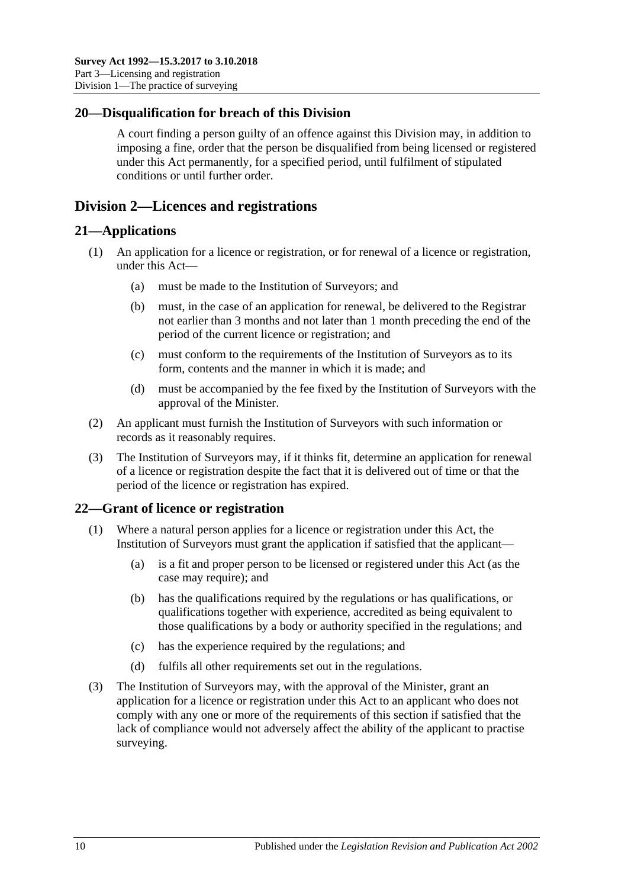## <span id="page-9-0"></span>**20—Disqualification for breach of this Division**

A court finding a person guilty of an offence against this Division may, in addition to imposing a fine, order that the person be disqualified from being licensed or registered under this Act permanently, for a specified period, until fulfilment of stipulated conditions or until further order.

# <span id="page-9-1"></span>**Division 2—Licences and registrations**

## <span id="page-9-2"></span>**21—Applications**

- (1) An application for a licence or registration, or for renewal of a licence or registration, under this Act—
	- (a) must be made to the Institution of Surveyors; and
	- (b) must, in the case of an application for renewal, be delivered to the Registrar not earlier than 3 months and not later than 1 month preceding the end of the period of the current licence or registration; and
	- (c) must conform to the requirements of the Institution of Surveyors as to its form, contents and the manner in which it is made; and
	- (d) must be accompanied by the fee fixed by the Institution of Surveyors with the approval of the Minister.
- (2) An applicant must furnish the Institution of Surveyors with such information or records as it reasonably requires.
- (3) The Institution of Surveyors may, if it thinks fit, determine an application for renewal of a licence or registration despite the fact that it is delivered out of time or that the period of the licence or registration has expired.

# <span id="page-9-3"></span>**22—Grant of licence or registration**

- (1) Where a natural person applies for a licence or registration under this Act, the Institution of Surveyors must grant the application if satisfied that the applicant—
	- (a) is a fit and proper person to be licensed or registered under this Act (as the case may require); and
	- (b) has the qualifications required by the regulations or has qualifications, or qualifications together with experience, accredited as being equivalent to those qualifications by a body or authority specified in the regulations; and
	- (c) has the experience required by the regulations; and
	- (d) fulfils all other requirements set out in the regulations.
- (3) The Institution of Surveyors may, with the approval of the Minister, grant an application for a licence or registration under this Act to an applicant who does not comply with any one or more of the requirements of this section if satisfied that the lack of compliance would not adversely affect the ability of the applicant to practise surveying.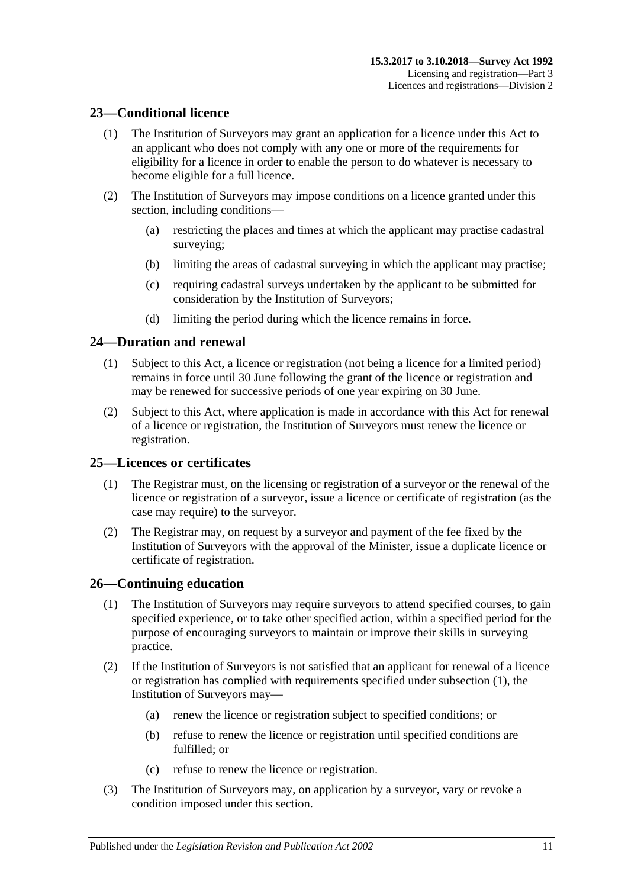## <span id="page-10-0"></span>**23—Conditional licence**

- (1) The Institution of Surveyors may grant an application for a licence under this Act to an applicant who does not comply with any one or more of the requirements for eligibility for a licence in order to enable the person to do whatever is necessary to become eligible for a full licence.
- (2) The Institution of Surveyors may impose conditions on a licence granted under this section, including conditions—
	- (a) restricting the places and times at which the applicant may practise cadastral surveying;
	- (b) limiting the areas of cadastral surveying in which the applicant may practise;
	- (c) requiring cadastral surveys undertaken by the applicant to be submitted for consideration by the Institution of Surveyors;
	- (d) limiting the period during which the licence remains in force.

## <span id="page-10-1"></span>**24—Duration and renewal**

- (1) Subject to this Act, a licence or registration (not being a licence for a limited period) remains in force until 30 June following the grant of the licence or registration and may be renewed for successive periods of one year expiring on 30 June.
- (2) Subject to this Act, where application is made in accordance with this Act for renewal of a licence or registration, the Institution of Surveyors must renew the licence or registration.

## <span id="page-10-2"></span>**25—Licences or certificates**

- (1) The Registrar must, on the licensing or registration of a surveyor or the renewal of the licence or registration of a surveyor, issue a licence or certificate of registration (as the case may require) to the surveyor.
- (2) The Registrar may, on request by a surveyor and payment of the fee fixed by the Institution of Surveyors with the approval of the Minister, issue a duplicate licence or certificate of registration.

## <span id="page-10-4"></span><span id="page-10-3"></span>**26—Continuing education**

- (1) The Institution of Surveyors may require surveyors to attend specified courses, to gain specified experience, or to take other specified action, within a specified period for the purpose of encouraging surveyors to maintain or improve their skills in surveying practice.
- (2) If the Institution of Surveyors is not satisfied that an applicant for renewal of a licence or registration has complied with requirements specified under [subsection](#page-10-4) (1), the Institution of Surveyors may—
	- (a) renew the licence or registration subject to specified conditions; or
	- (b) refuse to renew the licence or registration until specified conditions are fulfilled; or
	- (c) refuse to renew the licence or registration.
- (3) The Institution of Surveyors may, on application by a surveyor, vary or revoke a condition imposed under this section.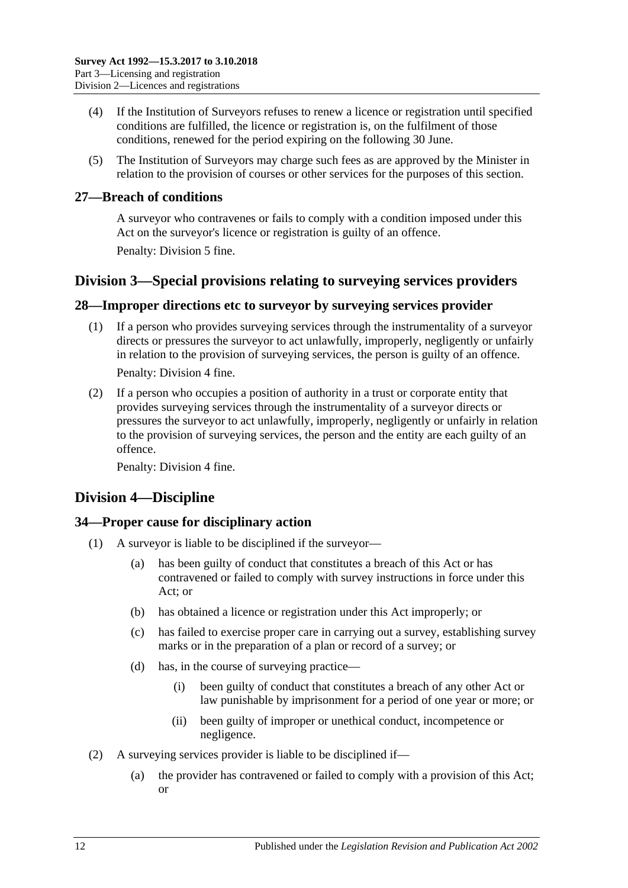- (4) If the Institution of Surveyors refuses to renew a licence or registration until specified conditions are fulfilled, the licence or registration is, on the fulfilment of those conditions, renewed for the period expiring on the following 30 June.
- (5) The Institution of Surveyors may charge such fees as are approved by the Minister in relation to the provision of courses or other services for the purposes of this section.

## <span id="page-11-0"></span>**27—Breach of conditions**

A surveyor who contravenes or fails to comply with a condition imposed under this Act on the surveyor's licence or registration is guilty of an offence. Penalty: Division 5 fine.

# <span id="page-11-1"></span>**Division 3—Special provisions relating to surveying services providers**

## <span id="page-11-2"></span>**28—Improper directions etc to surveyor by surveying services provider**

- (1) If a person who provides surveying services through the instrumentality of a surveyor directs or pressures the surveyor to act unlawfully, improperly, negligently or unfairly in relation to the provision of surveying services, the person is guilty of an offence. Penalty: Division 4 fine.
- (2) If a person who occupies a position of authority in a trust or corporate entity that provides surveying services through the instrumentality of a surveyor directs or pressures the surveyor to act unlawfully, improperly, negligently or unfairly in relation to the provision of surveying services, the person and the entity are each guilty of an offence.

Penalty: Division 4 fine.

# <span id="page-11-3"></span>**Division 4—Discipline**

# <span id="page-11-4"></span>**34—Proper cause for disciplinary action**

- (1) A surveyor is liable to be disciplined if the surveyor—
	- (a) has been guilty of conduct that constitutes a breach of this Act or has contravened or failed to comply with survey instructions in force under this Act; or
	- (b) has obtained a licence or registration under this Act improperly; or
	- (c) has failed to exercise proper care in carrying out a survey, establishing survey marks or in the preparation of a plan or record of a survey; or
	- (d) has, in the course of surveying practice—
		- (i) been guilty of conduct that constitutes a breach of any other Act or law punishable by imprisonment for a period of one year or more; or
		- (ii) been guilty of improper or unethical conduct, incompetence or negligence.
- (2) A surveying services provider is liable to be disciplined if—
	- (a) the provider has contravened or failed to comply with a provision of this Act; or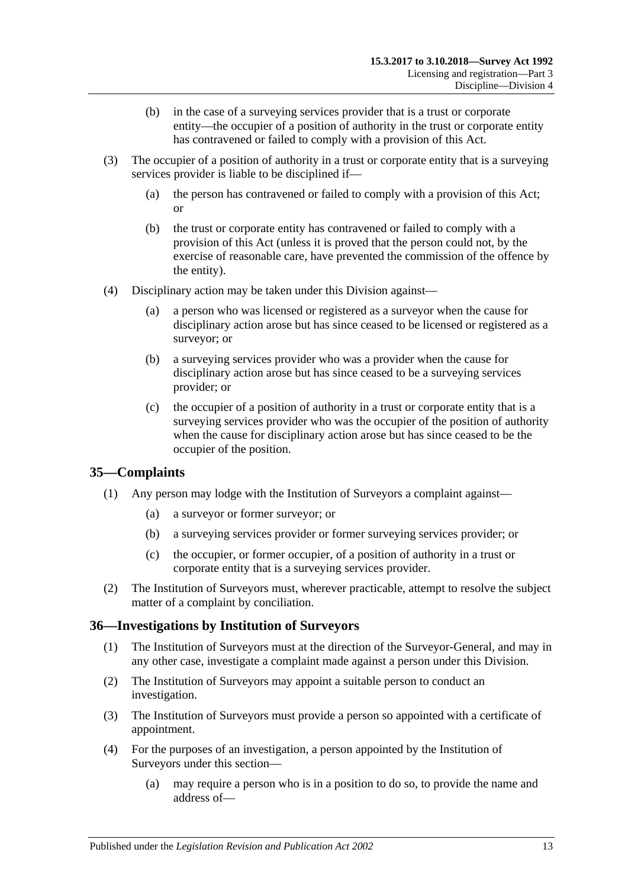- (b) in the case of a surveying services provider that is a trust or corporate entity—the occupier of a position of authority in the trust or corporate entity has contravened or failed to comply with a provision of this Act.
- (3) The occupier of a position of authority in a trust or corporate entity that is a surveying services provider is liable to be disciplined if—
	- (a) the person has contravened or failed to comply with a provision of this Act; or
	- (b) the trust or corporate entity has contravened or failed to comply with a provision of this Act (unless it is proved that the person could not, by the exercise of reasonable care, have prevented the commission of the offence by the entity).
- (4) Disciplinary action may be taken under this Division against—
	- (a) a person who was licensed or registered as a surveyor when the cause for disciplinary action arose but has since ceased to be licensed or registered as a surveyor; or
	- (b) a surveying services provider who was a provider when the cause for disciplinary action arose but has since ceased to be a surveying services provider; or
	- (c) the occupier of a position of authority in a trust or corporate entity that is a surveying services provider who was the occupier of the position of authority when the cause for disciplinary action arose but has since ceased to be the occupier of the position.

## <span id="page-12-0"></span>**35—Complaints**

- (1) Any person may lodge with the Institution of Surveyors a complaint against—
	- (a) a surveyor or former surveyor; or
	- (b) a surveying services provider or former surveying services provider; or
	- (c) the occupier, or former occupier, of a position of authority in a trust or corporate entity that is a surveying services provider.
- (2) The Institution of Surveyors must, wherever practicable, attempt to resolve the subject matter of a complaint by conciliation.

## <span id="page-12-1"></span>**36—Investigations by Institution of Surveyors**

- (1) The Institution of Surveyors must at the direction of the Surveyor-General, and may in any other case, investigate a complaint made against a person under this Division.
- (2) The Institution of Surveyors may appoint a suitable person to conduct an investigation.
- (3) The Institution of Surveyors must provide a person so appointed with a certificate of appointment.
- (4) For the purposes of an investigation, a person appointed by the Institution of Surveyors under this section—
	- (a) may require a person who is in a position to do so, to provide the name and address of—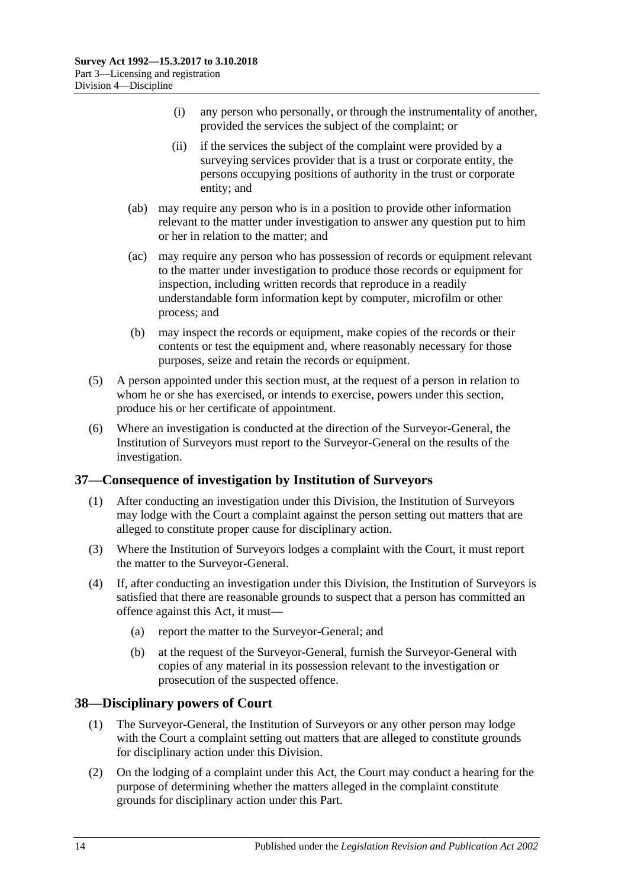- (i) any person who personally, or through the instrumentality of another, provided the services the subject of the complaint; or
- (ii) if the services the subject of the complaint were provided by a surveying services provider that is a trust or corporate entity, the persons occupying positions of authority in the trust or corporate entity; and
- (ab) may require any person who is in a position to provide other information relevant to the matter under investigation to answer any question put to him or her in relation to the matter; and
- (ac) may require any person who has possession of records or equipment relevant to the matter under investigation to produce those records or equipment for inspection, including written records that reproduce in a readily understandable form information kept by computer, microfilm or other process; and
- (b) may inspect the records or equipment, make copies of the records or their contents or test the equipment and, where reasonably necessary for those purposes, seize and retain the records or equipment.
- (5) A person appointed under this section must, at the request of a person in relation to whom he or she has exercised, or intends to exercise, powers under this section, produce his or her certificate of appointment.
- (6) Where an investigation is conducted at the direction of the Surveyor-General, the Institution of Surveyors must report to the Surveyor-General on the results of the investigation.

## <span id="page-13-0"></span>**37—Consequence of investigation by Institution of Surveyors**

- (1) After conducting an investigation under this Division, the Institution of Surveyors may lodge with the Court a complaint against the person setting out matters that are alleged to constitute proper cause for disciplinary action.
- (3) Where the Institution of Surveyors lodges a complaint with the Court, it must report the matter to the Surveyor-General.
- (4) If, after conducting an investigation under this Division, the Institution of Surveyors is satisfied that there are reasonable grounds to suspect that a person has committed an offence against this Act, it must—
	- (a) report the matter to the Surveyor-General; and
	- (b) at the request of the Surveyor-General, furnish the Surveyor-General with copies of any material in its possession relevant to the investigation or prosecution of the suspected offence.

## <span id="page-13-1"></span>**38—Disciplinary powers of Court**

- (1) The Surveyor-General, the Institution of Surveyors or any other person may lodge with the Court a complaint setting out matters that are alleged to constitute grounds for disciplinary action under this Division.
- (2) On the lodging of a complaint under this Act, the Court may conduct a hearing for the purpose of determining whether the matters alleged in the complaint constitute grounds for disciplinary action under this Part.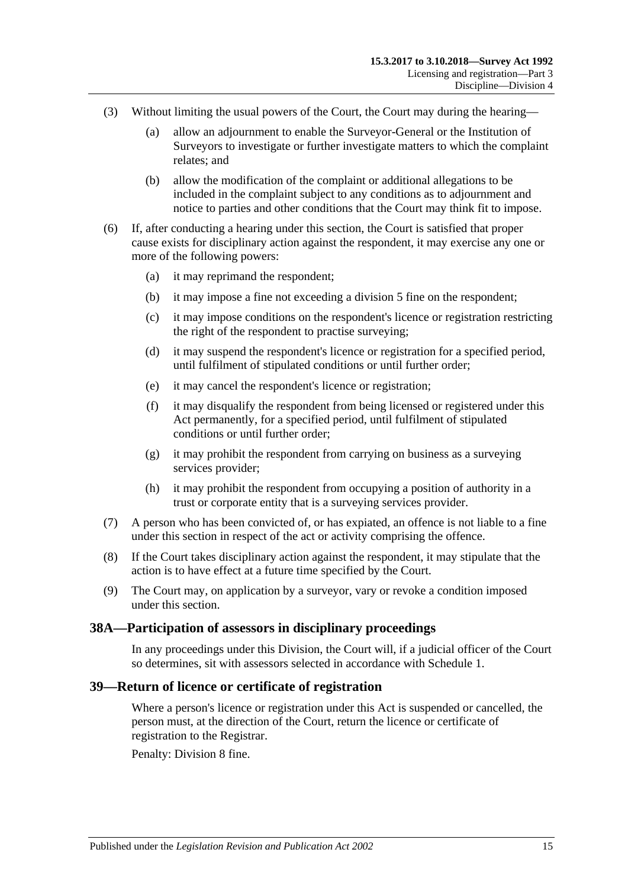- (3) Without limiting the usual powers of the Court, the Court may during the hearing—
	- (a) allow an adjournment to enable the Surveyor-General or the Institution of Surveyors to investigate or further investigate matters to which the complaint relates; and
	- (b) allow the modification of the complaint or additional allegations to be included in the complaint subject to any conditions as to adjournment and notice to parties and other conditions that the Court may think fit to impose.
- (6) If, after conducting a hearing under this section, the Court is satisfied that proper cause exists for disciplinary action against the respondent, it may exercise any one or more of the following powers:
	- (a) it may reprimand the respondent;
	- (b) it may impose a fine not exceeding a division 5 fine on the respondent;
	- (c) it may impose conditions on the respondent's licence or registration restricting the right of the respondent to practise surveying;
	- (d) it may suspend the respondent's licence or registration for a specified period, until fulfilment of stipulated conditions or until further order;
	- (e) it may cancel the respondent's licence or registration;
	- (f) it may disqualify the respondent from being licensed or registered under this Act permanently, for a specified period, until fulfilment of stipulated conditions or until further order;
	- (g) it may prohibit the respondent from carrying on business as a surveying services provider;
	- (h) it may prohibit the respondent from occupying a position of authority in a trust or corporate entity that is a surveying services provider.
- (7) A person who has been convicted of, or has expiated, an offence is not liable to a fine under this section in respect of the act or activity comprising the offence.
- (8) If the Court takes disciplinary action against the respondent, it may stipulate that the action is to have effect at a future time specified by the Court.
- (9) The Court may, on application by a surveyor, vary or revoke a condition imposed under this section.

#### <span id="page-14-0"></span>**38A—Participation of assessors in disciplinary proceedings**

In any proceedings under this Division, the Court will, if a judicial officer of the Court so determines, sit with assessors selected in accordance with [Schedule 1.](#page-25-2)

#### <span id="page-14-1"></span>**39—Return of licence or certificate of registration**

Where a person's licence or registration under this Act is suspended or cancelled, the person must, at the direction of the Court, return the licence or certificate of registration to the Registrar.

Penalty: Division 8 fine.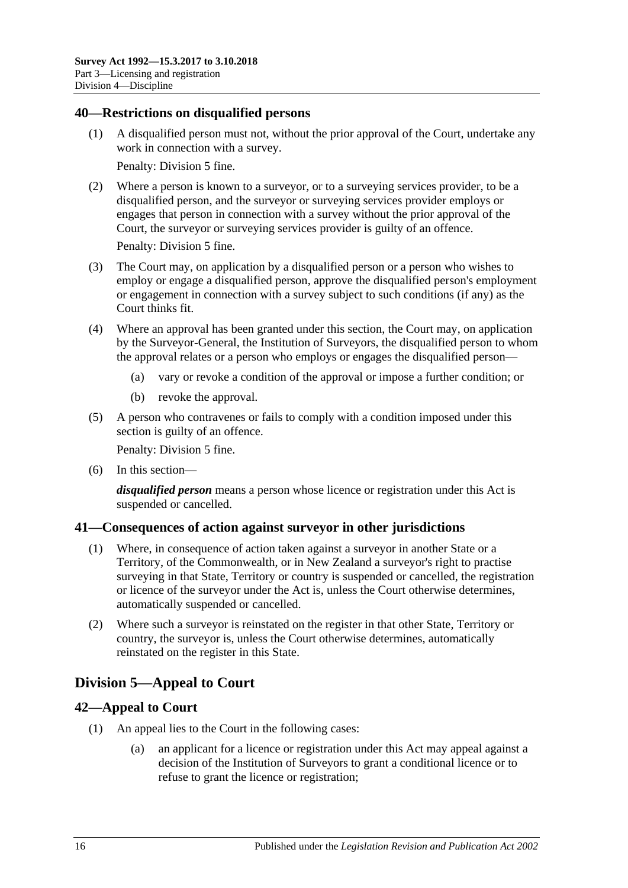#### <span id="page-15-0"></span>**40—Restrictions on disqualified persons**

(1) A disqualified person must not, without the prior approval of the Court, undertake any work in connection with a survey.

Penalty: Division 5 fine.

(2) Where a person is known to a surveyor, or to a surveying services provider, to be a disqualified person, and the surveyor or surveying services provider employs or engages that person in connection with a survey without the prior approval of the Court, the surveyor or surveying services provider is guilty of an offence.

Penalty: Division 5 fine.

- (3) The Court may, on application by a disqualified person or a person who wishes to employ or engage a disqualified person, approve the disqualified person's employment or engagement in connection with a survey subject to such conditions (if any) as the Court thinks fit.
- (4) Where an approval has been granted under this section, the Court may, on application by the Surveyor-General, the Institution of Surveyors, the disqualified person to whom the approval relates or a person who employs or engages the disqualified person—
	- (a) vary or revoke a condition of the approval or impose a further condition; or
	- (b) revoke the approval.
- (5) A person who contravenes or fails to comply with a condition imposed under this section is guilty of an offence.

Penalty: Division 5 fine.

(6) In this section—

*disqualified person* means a person whose licence or registration under this Act is suspended or cancelled.

## <span id="page-15-1"></span>**41—Consequences of action against surveyor in other jurisdictions**

- (1) Where, in consequence of action taken against a surveyor in another State or a Territory, of the Commonwealth, or in New Zealand a surveyor's right to practise surveying in that State, Territory or country is suspended or cancelled, the registration or licence of the surveyor under the Act is, unless the Court otherwise determines, automatically suspended or cancelled.
- (2) Where such a surveyor is reinstated on the register in that other State, Territory or country, the surveyor is, unless the Court otherwise determines, automatically reinstated on the register in this State.

# <span id="page-15-2"></span>**Division 5—Appeal to Court**

# <span id="page-15-3"></span>**42—Appeal to Court**

- (1) An appeal lies to the Court in the following cases:
	- (a) an applicant for a licence or registration under this Act may appeal against a decision of the Institution of Surveyors to grant a conditional licence or to refuse to grant the licence or registration;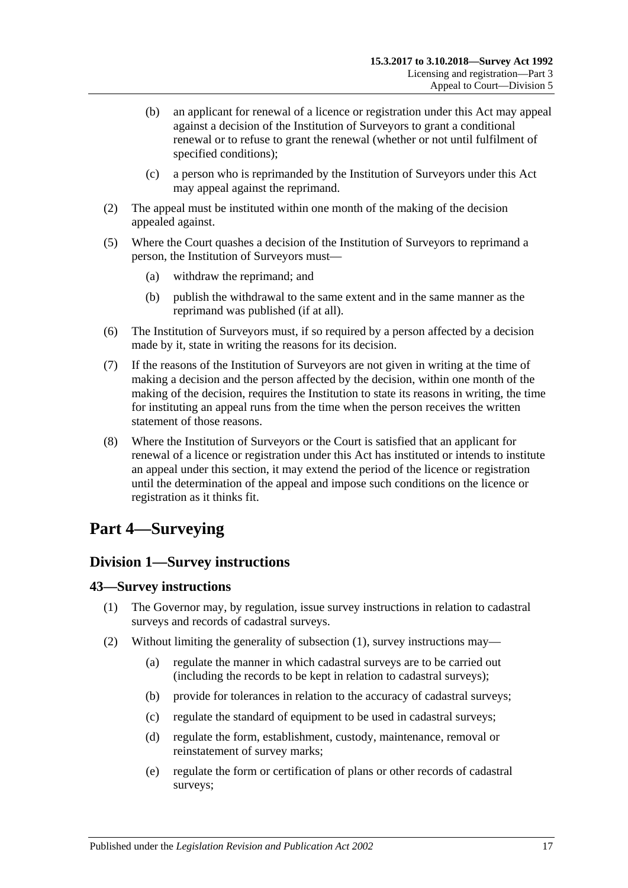- (b) an applicant for renewal of a licence or registration under this Act may appeal against a decision of the Institution of Surveyors to grant a conditional renewal or to refuse to grant the renewal (whether or not until fulfilment of specified conditions);
- (c) a person who is reprimanded by the Institution of Surveyors under this Act may appeal against the reprimand.
- (2) The appeal must be instituted within one month of the making of the decision appealed against.
- (5) Where the Court quashes a decision of the Institution of Surveyors to reprimand a person, the Institution of Surveyors must—
	- (a) withdraw the reprimand; and
	- (b) publish the withdrawal to the same extent and in the same manner as the reprimand was published (if at all).
- (6) The Institution of Surveyors must, if so required by a person affected by a decision made by it, state in writing the reasons for its decision.
- (7) If the reasons of the Institution of Surveyors are not given in writing at the time of making a decision and the person affected by the decision, within one month of the making of the decision, requires the Institution to state its reasons in writing, the time for instituting an appeal runs from the time when the person receives the written statement of those reasons.
- (8) Where the Institution of Surveyors or the Court is satisfied that an applicant for renewal of a licence or registration under this Act has instituted or intends to institute an appeal under this section, it may extend the period of the licence or registration until the determination of the appeal and impose such conditions on the licence or registration as it thinks fit.

# <span id="page-16-0"></span>**Part 4—Surveying**

# <span id="page-16-1"></span>**Division 1—Survey instructions**

#### <span id="page-16-3"></span><span id="page-16-2"></span>**43—Survey instructions**

- (1) The Governor may, by regulation, issue survey instructions in relation to cadastral surveys and records of cadastral surveys.
- <span id="page-16-4"></span>(2) Without limiting the generality of [subsection](#page-16-3) (1), survey instructions may—
	- (a) regulate the manner in which cadastral surveys are to be carried out (including the records to be kept in relation to cadastral surveys);
	- (b) provide for tolerances in relation to the accuracy of cadastral surveys;
	- (c) regulate the standard of equipment to be used in cadastral surveys;
	- (d) regulate the form, establishment, custody, maintenance, removal or reinstatement of survey marks;
	- (e) regulate the form or certification of plans or other records of cadastral surveys;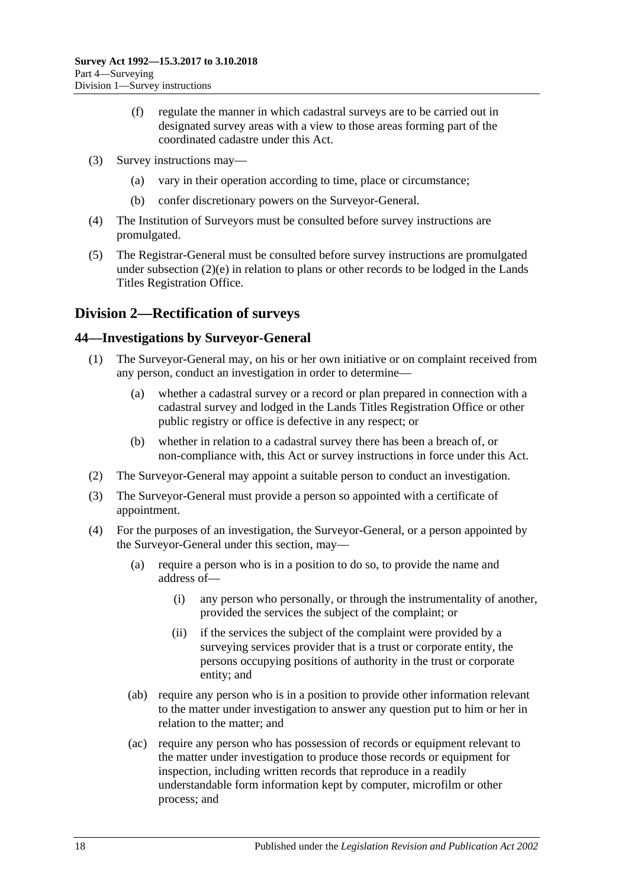- (f) regulate the manner in which cadastral surveys are to be carried out in designated survey areas with a view to those areas forming part of the coordinated cadastre under this Act.
- (3) Survey instructions may—
	- (a) vary in their operation according to time, place or circumstance;
	- (b) confer discretionary powers on the Surveyor-General.
- (4) The Institution of Surveyors must be consulted before survey instructions are promulgated.
- (5) The Registrar-General must be consulted before survey instructions are promulgated under [subsection](#page-16-4) (2)(e) in relation to plans or other records to be lodged in the Lands Titles Registration Office.

# <span id="page-17-0"></span>**Division 2—Rectification of surveys**

## <span id="page-17-1"></span>**44—Investigations by Surveyor-General**

- (1) The Surveyor-General may, on his or her own initiative or on complaint received from any person, conduct an investigation in order to determine—
	- (a) whether a cadastral survey or a record or plan prepared in connection with a cadastral survey and lodged in the Lands Titles Registration Office or other public registry or office is defective in any respect; or
	- (b) whether in relation to a cadastral survey there has been a breach of, or non-compliance with, this Act or survey instructions in force under this Act.
- (2) The Surveyor-General may appoint a suitable person to conduct an investigation.
- (3) The Surveyor-General must provide a person so appointed with a certificate of appointment.
- (4) For the purposes of an investigation, the Surveyor-General, or a person appointed by the Surveyor-General under this section, may—
	- (a) require a person who is in a position to do so, to provide the name and address of—
		- (i) any person who personally, or through the instrumentality of another, provided the services the subject of the complaint; or
		- (ii) if the services the subject of the complaint were provided by a surveying services provider that is a trust or corporate entity, the persons occupying positions of authority in the trust or corporate entity; and
	- (ab) require any person who is in a position to provide other information relevant to the matter under investigation to answer any question put to him or her in relation to the matter; and
	- (ac) require any person who has possession of records or equipment relevant to the matter under investigation to produce those records or equipment for inspection, including written records that reproduce in a readily understandable form information kept by computer, microfilm or other process; and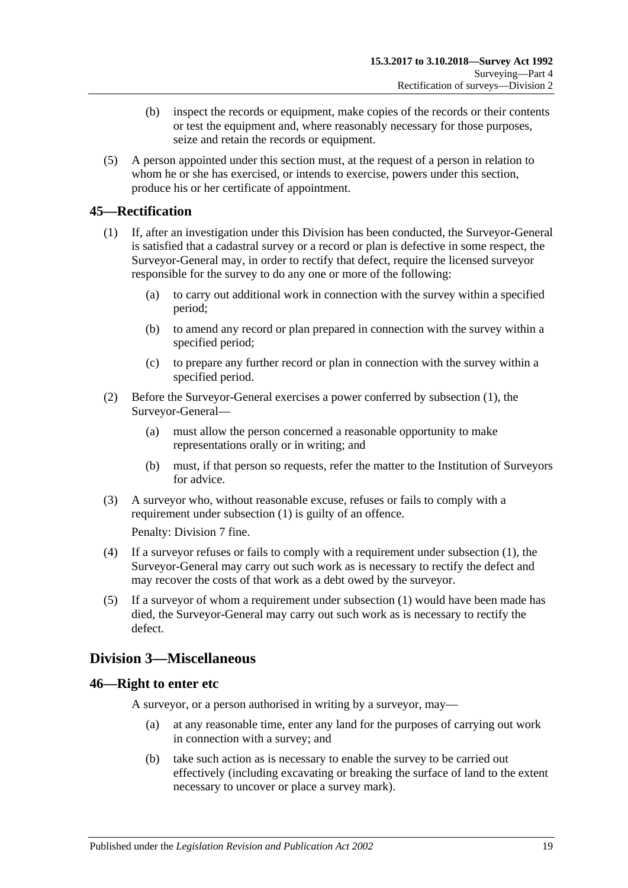- (b) inspect the records or equipment, make copies of the records or their contents or test the equipment and, where reasonably necessary for those purposes, seize and retain the records or equipment.
- (5) A person appointed under this section must, at the request of a person in relation to whom he or she has exercised, or intends to exercise, powers under this section, produce his or her certificate of appointment.

# <span id="page-18-3"></span><span id="page-18-0"></span>**45—Rectification**

- (1) If, after an investigation under this Division has been conducted, the Surveyor-General is satisfied that a cadastral survey or a record or plan is defective in some respect, the Surveyor-General may, in order to rectify that defect, require the licensed surveyor responsible for the survey to do any one or more of the following:
	- (a) to carry out additional work in connection with the survey within a specified period;
	- (b) to amend any record or plan prepared in connection with the survey within a specified period;
	- (c) to prepare any further record or plan in connection with the survey within a specified period.
- (2) Before the Surveyor-General exercises a power conferred by [subsection](#page-18-3) (1), the Surveyor-General—
	- (a) must allow the person concerned a reasonable opportunity to make representations orally or in writing; and
	- (b) must, if that person so requests, refer the matter to the Institution of Surveyors for advice.
- (3) A surveyor who, without reasonable excuse, refuses or fails to comply with a requirement under [subsection](#page-18-3) (1) is guilty of an offence.

Penalty: Division 7 fine.

- (4) If a surveyor refuses or fails to comply with a requirement under [subsection](#page-18-3) (1), the Surveyor-General may carry out such work as is necessary to rectify the defect and may recover the costs of that work as a debt owed by the surveyor.
- (5) If a surveyor of whom a requirement under [subsection](#page-18-3) (1) would have been made has died, the Surveyor-General may carry out such work as is necessary to rectify the defect.

# <span id="page-18-1"></span>**Division 3—Miscellaneous**

#### <span id="page-18-2"></span>**46—Right to enter etc**

A surveyor, or a person authorised in writing by a surveyor, may—

- (a) at any reasonable time, enter any land for the purposes of carrying out work in connection with a survey; and
- (b) take such action as is necessary to enable the survey to be carried out effectively (including excavating or breaking the surface of land to the extent necessary to uncover or place a survey mark).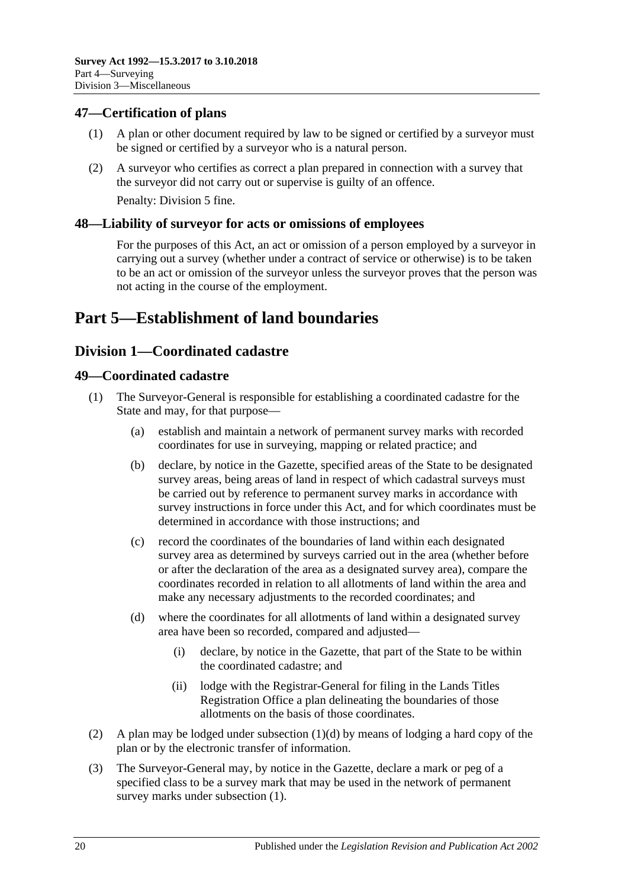# <span id="page-19-0"></span>**47—Certification of plans**

- (1) A plan or other document required by law to be signed or certified by a surveyor must be signed or certified by a surveyor who is a natural person.
- (2) A surveyor who certifies as correct a plan prepared in connection with a survey that the surveyor did not carry out or supervise is guilty of an offence. Penalty: Division 5 fine.

<span id="page-19-1"></span>**48—Liability of surveyor for acts or omissions of employees**

For the purposes of this Act, an act or omission of a person employed by a surveyor in carrying out a survey (whether under a contract of service or otherwise) is to be taken to be an act or omission of the surveyor unless the surveyor proves that the person was not acting in the course of the employment.

# <span id="page-19-2"></span>**Part 5—Establishment of land boundaries**

# <span id="page-19-3"></span>**Division 1—Coordinated cadastre**

## <span id="page-19-6"></span><span id="page-19-4"></span>**49—Coordinated cadastre**

- (1) The Surveyor-General is responsible for establishing a coordinated cadastre for the State and may, for that purpose—
	- (a) establish and maintain a network of permanent survey marks with recorded coordinates for use in surveying, mapping or related practice; and
	- (b) declare, by notice in the Gazette, specified areas of the State to be designated survey areas, being areas of land in respect of which cadastral surveys must be carried out by reference to permanent survey marks in accordance with survey instructions in force under this Act, and for which coordinates must be determined in accordance with those instructions; and
	- (c) record the coordinates of the boundaries of land within each designated survey area as determined by surveys carried out in the area (whether before or after the declaration of the area as a designated survey area), compare the coordinates recorded in relation to all allotments of land within the area and make any necessary adjustments to the recorded coordinates; and
	- (d) where the coordinates for all allotments of land within a designated survey area have been so recorded, compared and adjusted—
		- (i) declare, by notice in the Gazette, that part of the State to be within the coordinated cadastre; and
		- (ii) lodge with the Registrar-General for filing in the Lands Titles Registration Office a plan delineating the boundaries of those allotments on the basis of those coordinates.
- <span id="page-19-5"></span>(2) A plan may be lodged under [subsection](#page-19-5) (1)(d) by means of lodging a hard copy of the plan or by the electronic transfer of information.
- <span id="page-19-7"></span>(3) The Surveyor-General may, by notice in the Gazette, declare a mark or peg of a specified class to be a survey mark that may be used in the network of permanent survey marks under [subsection](#page-19-6) (1).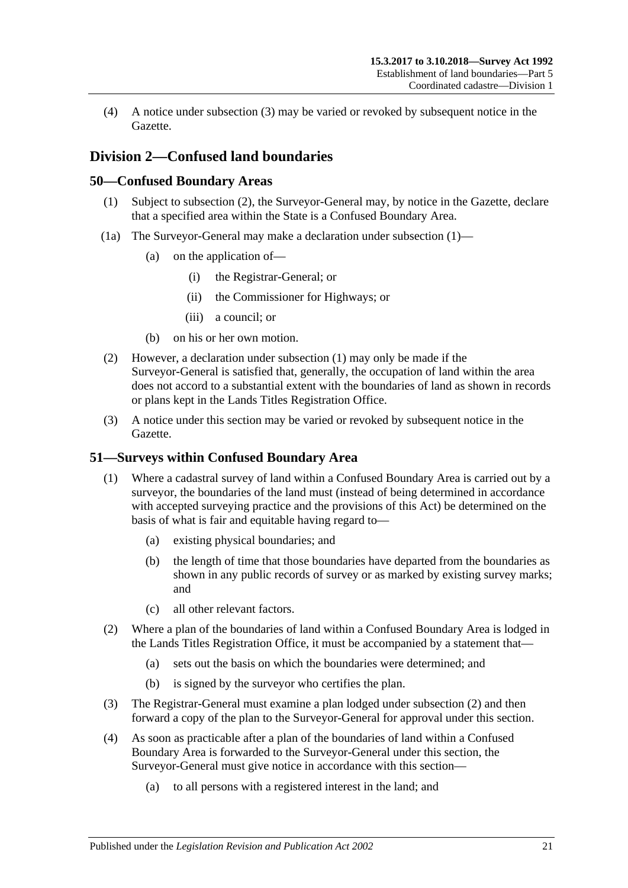(4) A notice under [subsection](#page-19-7) (3) may be varied or revoked by subsequent notice in the Gazette.

# <span id="page-20-0"></span>**Division 2—Confused land boundaries**

## <span id="page-20-4"></span><span id="page-20-1"></span>**50—Confused Boundary Areas**

- (1) Subject to [subsection](#page-20-3) (2), the Surveyor-General may, by notice in the Gazette, declare that a specified area within the State is a Confused Boundary Area.
- (1a) The Surveyor-General may make a declaration under [subsection](#page-20-4) (1)—
	- (a) on the application of—
		- (i) the Registrar-General; or
		- (ii) the Commissioner for Highways; or
		- (iii) a council; or
	- (b) on his or her own motion.
- <span id="page-20-3"></span>(2) However, a declaration under [subsection](#page-20-4) (1) may only be made if the Surveyor-General is satisfied that, generally, the occupation of land within the area does not accord to a substantial extent with the boundaries of land as shown in records or plans kept in the Lands Titles Registration Office.
- (3) A notice under this section may be varied or revoked by subsequent notice in the Gazette.

# <span id="page-20-2"></span>**51—Surveys within Confused Boundary Area**

- (1) Where a cadastral survey of land within a Confused Boundary Area is carried out by a surveyor, the boundaries of the land must (instead of being determined in accordance with accepted surveying practice and the provisions of this Act) be determined on the basis of what is fair and equitable having regard to—
	- (a) existing physical boundaries; and
	- (b) the length of time that those boundaries have departed from the boundaries as shown in any public records of survey or as marked by existing survey marks; and
	- (c) all other relevant factors.
- <span id="page-20-5"></span>(2) Where a plan of the boundaries of land within a Confused Boundary Area is lodged in the Lands Titles Registration Office, it must be accompanied by a statement that—
	- (a) sets out the basis on which the boundaries were determined; and
	- (b) is signed by the surveyor who certifies the plan.
- (3) The Registrar-General must examine a plan lodged under [subsection](#page-20-5) (2) and then forward a copy of the plan to the Surveyor-General for approval under this section.
- <span id="page-20-6"></span>(4) As soon as practicable after a plan of the boundaries of land within a Confused Boundary Area is forwarded to the Surveyor-General under this section, the Surveyor-General must give notice in accordance with this section—
	- (a) to all persons with a registered interest in the land; and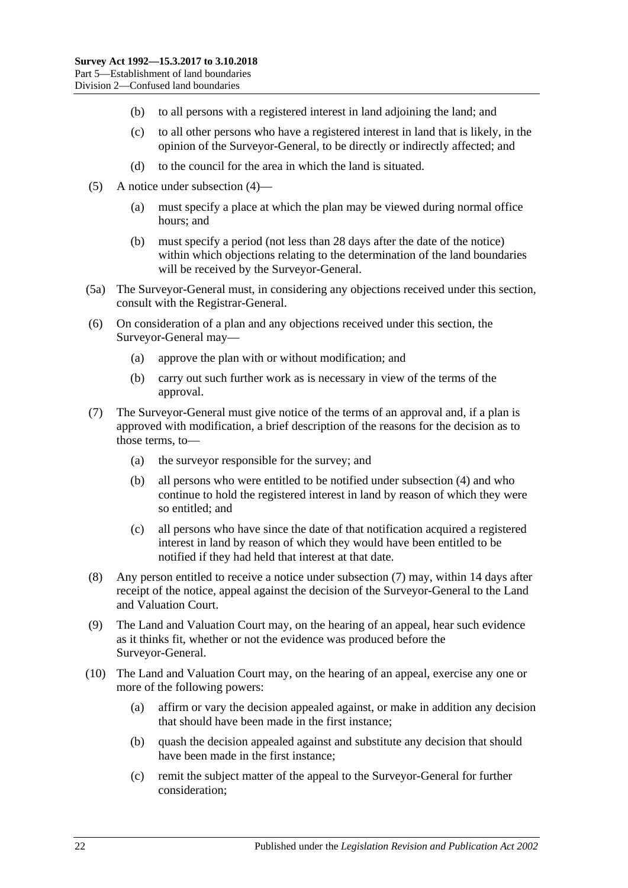- (b) to all persons with a registered interest in land adjoining the land; and
- (c) to all other persons who have a registered interest in land that is likely, in the opinion of the Surveyor-General, to be directly or indirectly affected; and
- (d) to the council for the area in which the land is situated.
- (5) A notice under [subsection](#page-20-6) (4)—
	- (a) must specify a place at which the plan may be viewed during normal office hours; and
	- (b) must specify a period (not less than 28 days after the date of the notice) within which objections relating to the determination of the land boundaries will be received by the Surveyor-General.
- (5a) The Surveyor-General must, in considering any objections received under this section, consult with the Registrar-General.
- (6) On consideration of a plan and any objections received under this section, the Surveyor-General may—
	- (a) approve the plan with or without modification; and
	- (b) carry out such further work as is necessary in view of the terms of the approval.
- <span id="page-21-0"></span>(7) The Surveyor-General must give notice of the terms of an approval and, if a plan is approved with modification, a brief description of the reasons for the decision as to those terms, to—
	- (a) the surveyor responsible for the survey; and
	- (b) all persons who were entitled to be notified under [subsection](#page-20-6) (4) and who continue to hold the registered interest in land by reason of which they were so entitled; and
	- (c) all persons who have since the date of that notification acquired a registered interest in land by reason of which they would have been entitled to be notified if they had held that interest at that date.
- (8) Any person entitled to receive a notice under [subsection](#page-21-0) (7) may, within 14 days after receipt of the notice, appeal against the decision of the Surveyor-General to the Land and Valuation Court.
- (9) The Land and Valuation Court may, on the hearing of an appeal, hear such evidence as it thinks fit, whether or not the evidence was produced before the Surveyor-General.
- (10) The Land and Valuation Court may, on the hearing of an appeal, exercise any one or more of the following powers:
	- (a) affirm or vary the decision appealed against, or make in addition any decision that should have been made in the first instance;
	- (b) quash the decision appealed against and substitute any decision that should have been made in the first instance;
	- (c) remit the subject matter of the appeal to the Surveyor-General for further consideration;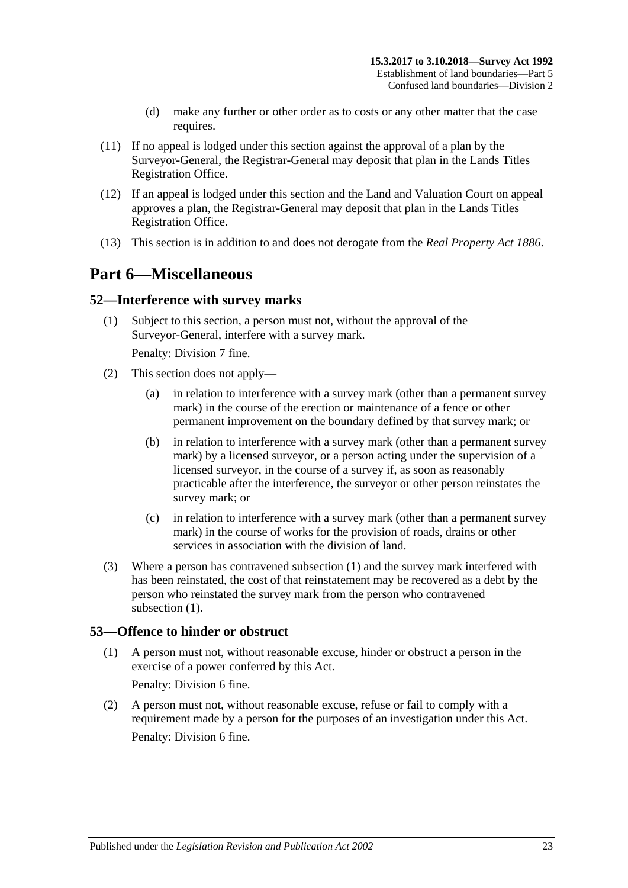- (d) make any further or other order as to costs or any other matter that the case requires.
- (11) If no appeal is lodged under this section against the approval of a plan by the Surveyor-General, the Registrar-General may deposit that plan in the Lands Titles Registration Office.
- (12) If an appeal is lodged under this section and the Land and Valuation Court on appeal approves a plan, the Registrar-General may deposit that plan in the Lands Titles Registration Office.
- <span id="page-22-0"></span>(13) This section is in addition to and does not derogate from the *[Real Property Act](http://www.legislation.sa.gov.au/index.aspx?action=legref&type=act&legtitle=Real%20Property%20Act%201886) 1886*.

# **Part 6—Miscellaneous**

#### <span id="page-22-3"></span><span id="page-22-1"></span>**52—Interference with survey marks**

(1) Subject to this section, a person must not, without the approval of the Surveyor-General, interfere with a survey mark.

Penalty: Division 7 fine.

- (2) This section does not apply—
	- (a) in relation to interference with a survey mark (other than a permanent survey mark) in the course of the erection or maintenance of a fence or other permanent improvement on the boundary defined by that survey mark; or
	- (b) in relation to interference with a survey mark (other than a permanent survey mark) by a licensed surveyor, or a person acting under the supervision of a licensed surveyor, in the course of a survey if, as soon as reasonably practicable after the interference, the surveyor or other person reinstates the survey mark; or
	- (c) in relation to interference with a survey mark (other than a permanent survey mark) in the course of works for the provision of roads, drains or other services in association with the division of land.
- (3) Where a person has contravened [subsection](#page-22-3) (1) and the survey mark interfered with has been reinstated, the cost of that reinstatement may be recovered as a debt by the person who reinstated the survey mark from the person who contravened [subsection](#page-22-3) (1).

## <span id="page-22-2"></span>**53—Offence to hinder or obstruct**

(1) A person must not, without reasonable excuse, hinder or obstruct a person in the exercise of a power conferred by this Act.

Penalty: Division 6 fine.

(2) A person must not, without reasonable excuse, refuse or fail to comply with a requirement made by a person for the purposes of an investigation under this Act. Penalty: Division 6 fine.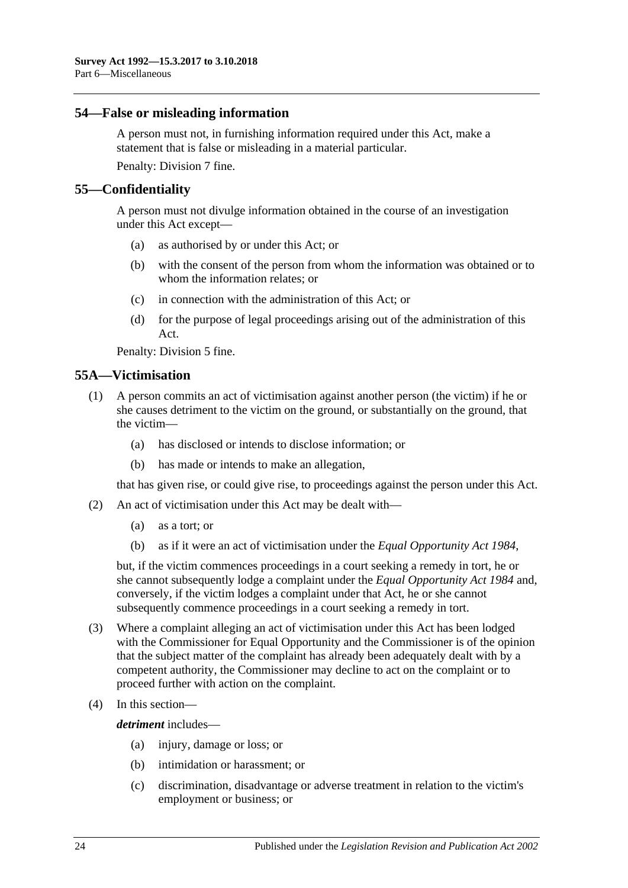#### <span id="page-23-0"></span>**54—False or misleading information**

A person must not, in furnishing information required under this Act, make a statement that is false or misleading in a material particular.

Penalty: Division 7 fine.

## <span id="page-23-1"></span>**55—Confidentiality**

A person must not divulge information obtained in the course of an investigation under this Act except—

- (a) as authorised by or under this Act; or
- (b) with the consent of the person from whom the information was obtained or to whom the information relates; or
- (c) in connection with the administration of this Act; or
- (d) for the purpose of legal proceedings arising out of the administration of this Act.

Penalty: Division 5 fine.

## <span id="page-23-2"></span>**55A—Victimisation**

- (1) A person commits an act of victimisation against another person (the victim) if he or she causes detriment to the victim on the ground, or substantially on the ground, that the victim—
	- (a) has disclosed or intends to disclose information; or
	- (b) has made or intends to make an allegation,

that has given rise, or could give rise, to proceedings against the person under this Act.

- (2) An act of victimisation under this Act may be dealt with—
	- (a) as a tort; or
	- (b) as if it were an act of victimisation under the *[Equal Opportunity Act](http://www.legislation.sa.gov.au/index.aspx?action=legref&type=act&legtitle=Equal%20Opportunity%20Act%201984) 1984*,

but, if the victim commences proceedings in a court seeking a remedy in tort, he or she cannot subsequently lodge a complaint under the *[Equal Opportunity Act](http://www.legislation.sa.gov.au/index.aspx?action=legref&type=act&legtitle=Equal%20Opportunity%20Act%201984) 1984* and, conversely, if the victim lodges a complaint under that Act, he or she cannot subsequently commence proceedings in a court seeking a remedy in tort.

- (3) Where a complaint alleging an act of victimisation under this Act has been lodged with the Commissioner for Equal Opportunity and the Commissioner is of the opinion that the subject matter of the complaint has already been adequately dealt with by a competent authority, the Commissioner may decline to act on the complaint or to proceed further with action on the complaint.
- (4) In this section—

*detriment* includes—

- (a) injury, damage or loss; or
- (b) intimidation or harassment; or
- (c) discrimination, disadvantage or adverse treatment in relation to the victim's employment or business; or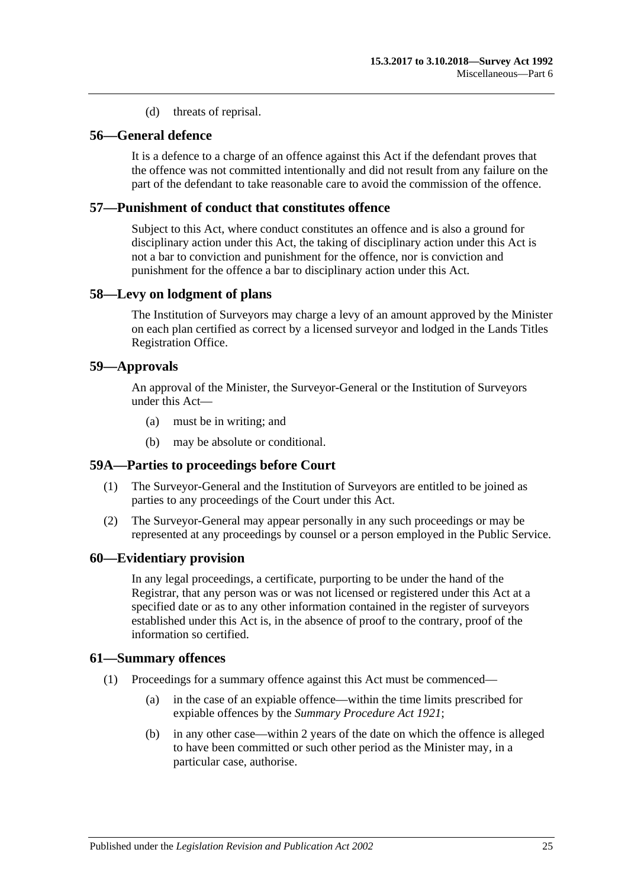(d) threats of reprisal.

# <span id="page-24-0"></span>**56—General defence**

It is a defence to a charge of an offence against this Act if the defendant proves that the offence was not committed intentionally and did not result from any failure on the part of the defendant to take reasonable care to avoid the commission of the offence.

#### <span id="page-24-1"></span>**57—Punishment of conduct that constitutes offence**

Subject to this Act, where conduct constitutes an offence and is also a ground for disciplinary action under this Act, the taking of disciplinary action under this Act is not a bar to conviction and punishment for the offence, nor is conviction and punishment for the offence a bar to disciplinary action under this Act.

#### <span id="page-24-2"></span>**58—Levy on lodgment of plans**

The Institution of Surveyors may charge a levy of an amount approved by the Minister on each plan certified as correct by a licensed surveyor and lodged in the Lands Titles Registration Office.

#### <span id="page-24-3"></span>**59—Approvals**

An approval of the Minister, the Surveyor-General or the Institution of Surveyors under this Act—

- (a) must be in writing; and
- (b) may be absolute or conditional.

## <span id="page-24-4"></span>**59A—Parties to proceedings before Court**

- (1) The Surveyor-General and the Institution of Surveyors are entitled to be joined as parties to any proceedings of the Court under this Act.
- (2) The Surveyor-General may appear personally in any such proceedings or may be represented at any proceedings by counsel or a person employed in the Public Service.

#### <span id="page-24-5"></span>**60—Evidentiary provision**

In any legal proceedings, a certificate, purporting to be under the hand of the Registrar, that any person was or was not licensed or registered under this Act at a specified date or as to any other information contained in the register of surveyors established under this Act is, in the absence of proof to the contrary, proof of the information so certified.

#### <span id="page-24-6"></span>**61—Summary offences**

- (1) Proceedings for a summary offence against this Act must be commenced—
	- (a) in the case of an expiable offence—within the time limits prescribed for expiable offences by the *[Summary Procedure Act](http://www.legislation.sa.gov.au/index.aspx?action=legref&type=act&legtitle=Summary%20Procedure%20Act%201921) 1921*;
	- (b) in any other case—within 2 years of the date on which the offence is alleged to have been committed or such other period as the Minister may, in a particular case, authorise.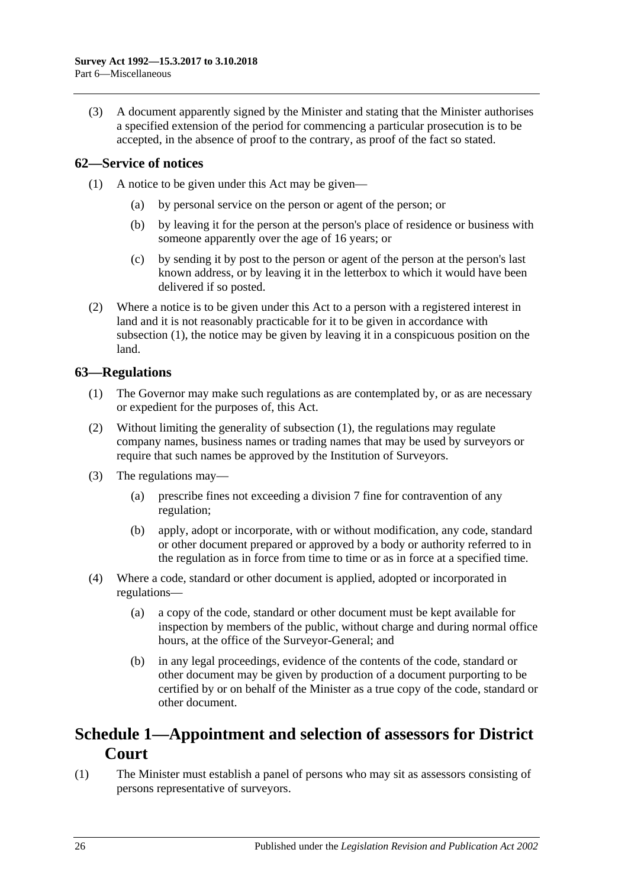(3) A document apparently signed by the Minister and stating that the Minister authorises a specified extension of the period for commencing a particular prosecution is to be accepted, in the absence of proof to the contrary, as proof of the fact so stated.

# <span id="page-25-3"></span><span id="page-25-0"></span>**62—Service of notices**

- (1) A notice to be given under this Act may be given—
	- (a) by personal service on the person or agent of the person; or
	- (b) by leaving it for the person at the person's place of residence or business with someone apparently over the age of 16 years; or
	- (c) by sending it by post to the person or agent of the person at the person's last known address, or by leaving it in the letterbox to which it would have been delivered if so posted.
- (2) Where a notice is to be given under this Act to a person with a registered interest in land and it is not reasonably practicable for it to be given in accordance with [subsection](#page-25-3) (1), the notice may be given by leaving it in a conspicuous position on the land.

## <span id="page-25-4"></span><span id="page-25-1"></span>**63—Regulations**

- (1) The Governor may make such regulations as are contemplated by, or as are necessary or expedient for the purposes of, this Act.
- (2) Without limiting the generality of [subsection](#page-25-4) (1), the regulations may regulate company names, business names or trading names that may be used by surveyors or require that such names be approved by the Institution of Surveyors.
- (3) The regulations may—
	- (a) prescribe fines not exceeding a division 7 fine for contravention of any regulation;
	- (b) apply, adopt or incorporate, with or without modification, any code, standard or other document prepared or approved by a body or authority referred to in the regulation as in force from time to time or as in force at a specified time.
- (4) Where a code, standard or other document is applied, adopted or incorporated in regulations—
	- (a) a copy of the code, standard or other document must be kept available for inspection by members of the public, without charge and during normal office hours, at the office of the Surveyor-General; and
	- (b) in any legal proceedings, evidence of the contents of the code, standard or other document may be given by production of a document purporting to be certified by or on behalf of the Minister as a true copy of the code, standard or other document.

# <span id="page-25-2"></span>**Schedule 1—Appointment and selection of assessors for District Court**

(1) The Minister must establish a panel of persons who may sit as assessors consisting of persons representative of surveyors.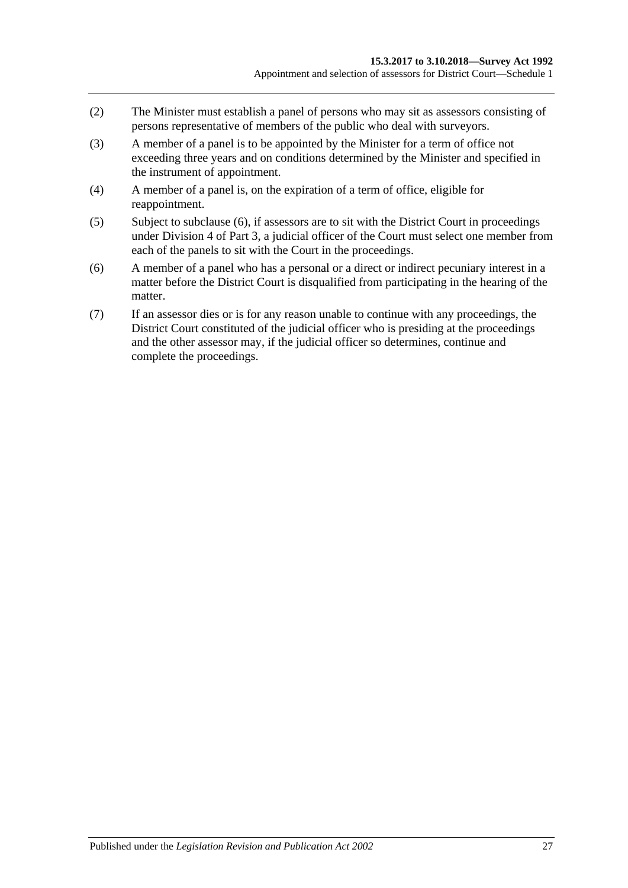- (2) The Minister must establish a panel of persons who may sit as assessors consisting of persons representative of members of the public who deal with surveyors.
- (3) A member of a panel is to be appointed by the Minister for a term of office not exceeding three years and on conditions determined by the Minister and specified in the instrument of appointment.
- (4) A member of a panel is, on the expiration of a term of office, eligible for reappointment.
- (5) Subject to [subclause](#page-26-0) (6), if assessors are to sit with the District Court in proceedings under [Division 4](#page-11-3) of [Part 3,](#page-7-1) a judicial officer of the Court must select one member from each of the panels to sit with the Court in the proceedings.
- <span id="page-26-0"></span>(6) A member of a panel who has a personal or a direct or indirect pecuniary interest in a matter before the District Court is disqualified from participating in the hearing of the matter.
- (7) If an assessor dies or is for any reason unable to continue with any proceedings, the District Court constituted of the judicial officer who is presiding at the proceedings and the other assessor may, if the judicial officer so determines, continue and complete the proceedings.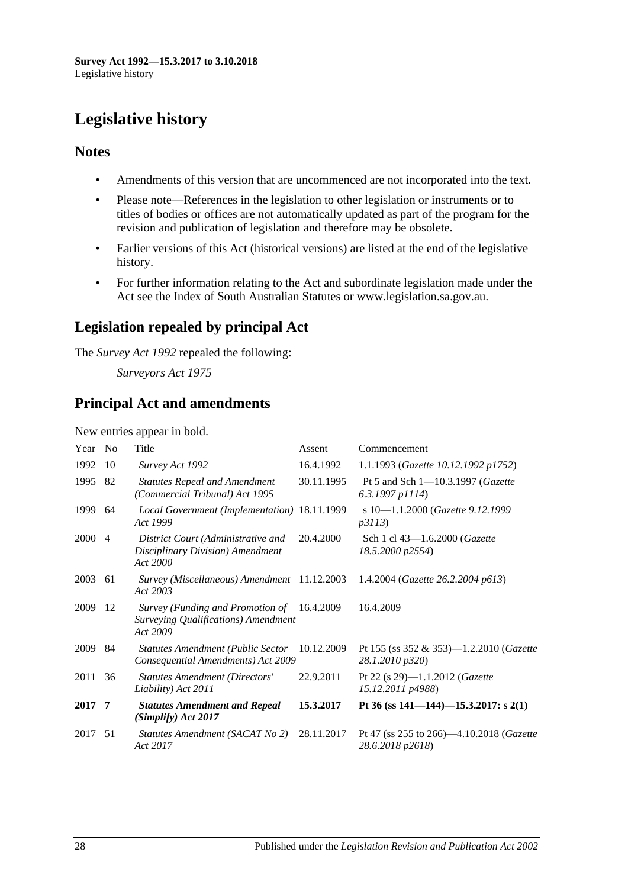# <span id="page-27-0"></span>**Legislative history**

# **Notes**

- Amendments of this version that are uncommenced are not incorporated into the text.
- Please note—References in the legislation to other legislation or instruments or to titles of bodies or offices are not automatically updated as part of the program for the revision and publication of legislation and therefore may be obsolete.
- Earlier versions of this Act (historical versions) are listed at the end of the legislative history.
- For further information relating to the Act and subordinate legislation made under the Act see the Index of South Australian Statutes or www.legislation.sa.gov.au.

# **Legislation repealed by principal Act**

The *Survey Act 1992* repealed the following:

*Surveyors Act 1975*

# **Principal Act and amendments**

New entries appear in bold.

| Year | N <sub>o</sub> | Title                                                                               | Assent     | Commencement                                                           |
|------|----------------|-------------------------------------------------------------------------------------|------------|------------------------------------------------------------------------|
| 1992 | 10             | Survey Act 1992                                                                     | 16.4.1992  | 1.1.1993 (Gazette 10.12.1992 p1752)                                    |
| 1995 | 82             | <b>Statutes Repeal and Amendment</b><br>(Commercial Tribunal) Act 1995              | 30.11.1995 | Pt 5 and Sch $1 - 10.3.1997$ ( <i>Gazette</i><br>$6.3.1997$ p $1114$ ) |
| 1999 | 64             | Local Government (Implementation) 18.11.1999<br>Act 1999                            |            | s 10-1.1.2000 (Gazette 9.12.1999<br><i>p3113</i> )                     |
| 2000 | $\overline{4}$ | District Court (Administrative and<br>Disciplinary Division) Amendment<br>Act 2000  | 20.4.2000  | Sch 1 cl 43–1.6.2000 ( <i>Gazette</i><br>18.5.2000 p2554)              |
| 2003 | 61             | Survey (Miscellaneous) Amendment 11.12.2003<br>Act 2003                             |            | 1.4.2004 (Gazette 26.2.2004 p613)                                      |
| 2009 | -12            | Survey (Funding and Promotion of<br>Surveying Qualifications) Amendment<br>Act 2009 | 16.4.2009  | 16.4.2009                                                              |
| 2009 | 84             | <b>Statutes Amendment (Public Sector</b><br>Consequential Amendments) Act 2009      | 10.12.2009 | Pt 155 (ss $352 \& 353$ )—1.2.2010 ( <i>Gazette</i><br>28.1.2010 p320) |
| 2011 | 36             | <b>Statutes Amendment (Directors'</b><br>Liability) Act 2011                        | 22.9.2011  | Pt 22 (s 29)-1.1.2012 (Gazette<br>15.12.2011 p4988)                    |
| 2017 | 7              | <b>Statutes Amendment and Repeal</b><br>(Simplify) Act 2017                         | 15.3.2017  | Pt 36 (ss 141–144)–15.3.2017: s 2(1)                                   |
| 2017 | 51             | Statutes Amendment (SACAT No 2)<br>Act 2017                                         | 28.11.2017 | Pt 47 (ss 255 to 266)-4.10.2018 (Gazette<br>28.6.2018 p2618)           |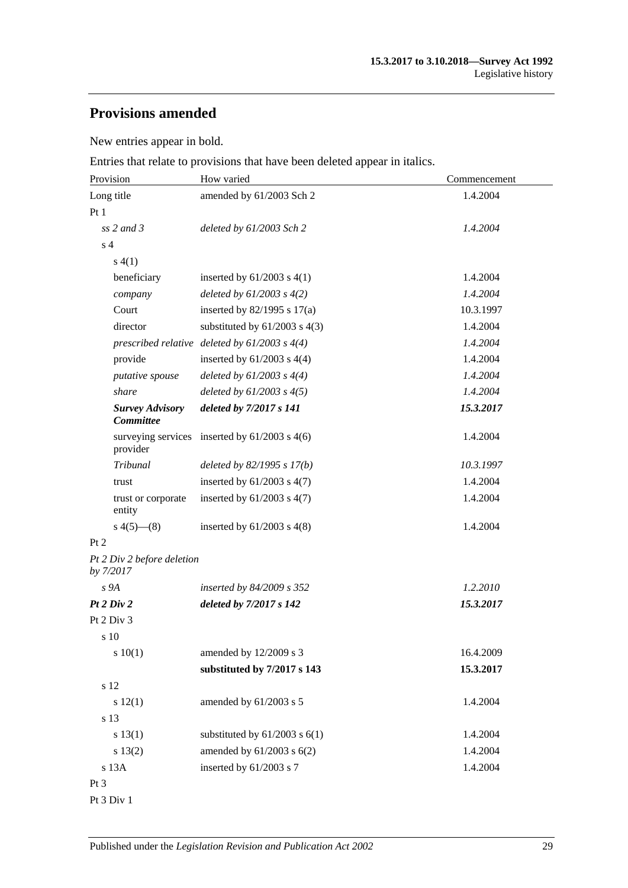# **Provisions amended**

New entries appear in bold.

Entries that relate to provisions that have been deleted appear in italics.

| Provision                                  | How varied                                        | Commencement |  |
|--------------------------------------------|---------------------------------------------------|--------------|--|
| Long title                                 | amended by 61/2003 Sch 2                          | 1.4.2004     |  |
| Pt1                                        |                                                   |              |  |
| $ss$ 2 and 3                               | deleted by 61/2003 Sch 2                          | 1.4.2004     |  |
| s <sub>4</sub>                             |                                                   |              |  |
| s(4(1))                                    |                                                   |              |  |
| beneficiary                                | inserted by $61/2003$ s $4(1)$                    | 1.4.2004     |  |
| company                                    | deleted by $61/2003 s 4(2)$                       | 1.4.2004     |  |
| Court                                      | inserted by $82/1995$ s $17(a)$                   | 10.3.1997    |  |
| director                                   | substituted by $61/2003$ s $4(3)$                 | 1.4.2004     |  |
|                                            | prescribed relative deleted by $61/2003$ s $4(4)$ | 1.4.2004     |  |
| provide                                    | inserted by $61/2003$ s $4(4)$                    | 1.4.2004     |  |
| putative spouse                            | deleted by $61/2003$ s $4(4)$                     | 1.4.2004     |  |
| share                                      | deleted by $61/2003$ s $4(5)$                     | 1.4.2004     |  |
| <b>Survey Advisory</b><br><b>Committee</b> | deleted by 7/2017 s 141                           | 15.3.2017    |  |
| provider                                   | surveying services inserted by $61/2003$ s $4(6)$ | 1.4.2004     |  |
| Tribunal                                   | deleted by $82/1995 s 17(b)$                      | 10.3.1997    |  |
| trust                                      | inserted by $61/2003$ s $4(7)$                    | 1.4.2004     |  |
| trust or corporate<br>entity               | inserted by $61/2003$ s $4(7)$                    | 1.4.2004     |  |
| $s\ 4(5)$ — $(8)$                          | inserted by $61/2003$ s $4(8)$                    | 1.4.2004     |  |
| Pt 2                                       |                                                   |              |  |
| Pt 2 Div 2 before deletion<br>by 7/2017    |                                                   |              |  |
| s 9A                                       | inserted by 84/2009 s 352                         | 1.2.2010     |  |
| Pt 2 Div 2                                 | deleted by 7/2017 s 142                           | 15.3.2017    |  |
| Pt 2 Div 3                                 |                                                   |              |  |
| s 10                                       |                                                   |              |  |
| 10(1)                                      | amended by 12/2009 s 3                            | 16.4.2009    |  |
|                                            | substituted by 7/2017 s 143                       | 15.3.2017    |  |
| s 12                                       |                                                   |              |  |
| s 12(1)                                    | amended by 61/2003 s 5                            | 1.4.2004     |  |
| s 13                                       |                                                   |              |  |
| s 13(1)                                    | substituted by $61/2003$ s $6(1)$                 | 1.4.2004     |  |
| s 13(2)                                    | amended by $61/2003$ s $6(2)$                     | 1.4.2004     |  |
| s 13A                                      | inserted by 61/2003 s 7                           | 1.4.2004     |  |
| $Pt\,3$                                    |                                                   |              |  |

Pt 3 Div 1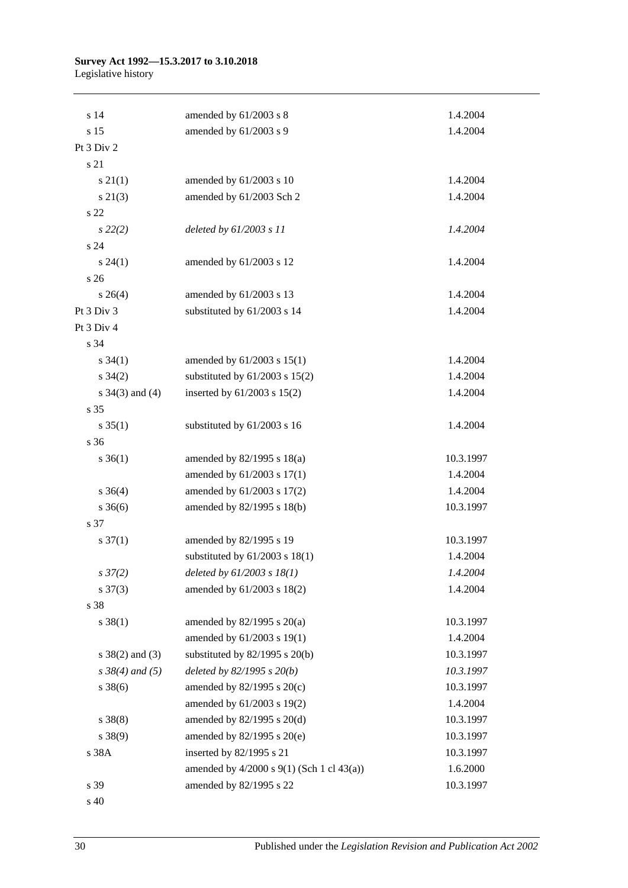#### **Survey Act 1992—15.3.2017 to 3.10.2018** Legislative history

| s 14                 | amended by 61/2003 s 8                           | 1.4.2004  |
|----------------------|--------------------------------------------------|-----------|
| s 15                 | amended by 61/2003 s 9                           | 1.4.2004  |
| Pt 3 Div 2           |                                                  |           |
| s 21                 |                                                  |           |
| $s \, 21(1)$         | amended by 61/2003 s 10                          | 1.4.2004  |
| s 21(3)              | amended by 61/2003 Sch 2                         | 1.4.2004  |
| s 22                 |                                                  |           |
| $s\,22(2)$           | deleted by 61/2003 s 11                          | 1.4.2004  |
| s 24                 |                                                  |           |
| $s\,24(1)$           | amended by 61/2003 s 12                          | 1.4.2004  |
| s <sub>26</sub>      |                                                  |           |
| $s \; 26(4)$         | amended by 61/2003 s 13                          | 1.4.2004  |
| Pt 3 Div 3           | substituted by 61/2003 s 14                      | 1.4.2004  |
| Pt 3 Div 4           |                                                  |           |
| s 34                 |                                                  |           |
| $s \, 34(1)$         | amended by $61/2003$ s $15(1)$                   | 1.4.2004  |
| $s \; 34(2)$         | substituted by $61/2003$ s $15(2)$               | 1.4.2004  |
| s $34(3)$ and $(4)$  | inserted by 61/2003 s 15(2)                      | 1.4.2004  |
| s 35                 |                                                  |           |
| $s \, 35(1)$         | substituted by 61/2003 s 16                      | 1.4.2004  |
| s 36                 |                                                  |           |
| $s \; 36(1)$         | amended by 82/1995 s 18(a)                       | 10.3.1997 |
|                      | amended by 61/2003 s 17(1)                       | 1.4.2004  |
| $s \; 36(4)$         | amended by 61/2003 s 17(2)                       | 1.4.2004  |
| $s \; 36(6)$         | amended by 82/1995 s 18(b)                       | 10.3.1997 |
| s 37                 |                                                  |           |
| $s \frac{37(1)}{2}$  | amended by 82/1995 s 19                          | 10.3.1997 |
|                      | substituted by $61/2003$ s $18(1)$               | 1.4.2004  |
| $s \frac{37}{2}$     | deleted by $61/2003$ s $18(1)$                   | 1.4.2004  |
| $s \frac{37(3)}{3}$  | amended by 61/2003 s 18(2)                       | 1.4.2004  |
| s 38                 |                                                  |           |
| $s \ 38(1)$          | amended by $82/1995$ s $20(a)$                   | 10.3.1997 |
|                      | amended by 61/2003 s 19(1)                       | 1.4.2004  |
| $s \ 38(2)$ and (3)  | substituted by $82/1995$ s $20(b)$               | 10.3.1997 |
| $s \, 38(4)$ and (5) | deleted by $82/1995 s 20(b)$                     | 10.3.1997 |
| $s \, 38(6)$         | amended by 82/1995 s 20(c)                       | 10.3.1997 |
|                      | amended by 61/2003 s 19(2)                       | 1.4.2004  |
| $s \ 38(8)$          | amended by 82/1995 s 20(d)                       | 10.3.1997 |
| $s\ 38(9)$           | amended by 82/1995 s 20(e)                       | 10.3.1997 |
| s 38A                | inserted by 82/1995 s 21                         | 10.3.1997 |
|                      | amended by $4/2000$ s $9(1)$ (Sch 1 cl $43(a)$ ) | 1.6.2000  |
| s 39                 | amended by 82/1995 s 22                          | 10.3.1997 |
|                      |                                                  |           |

s 40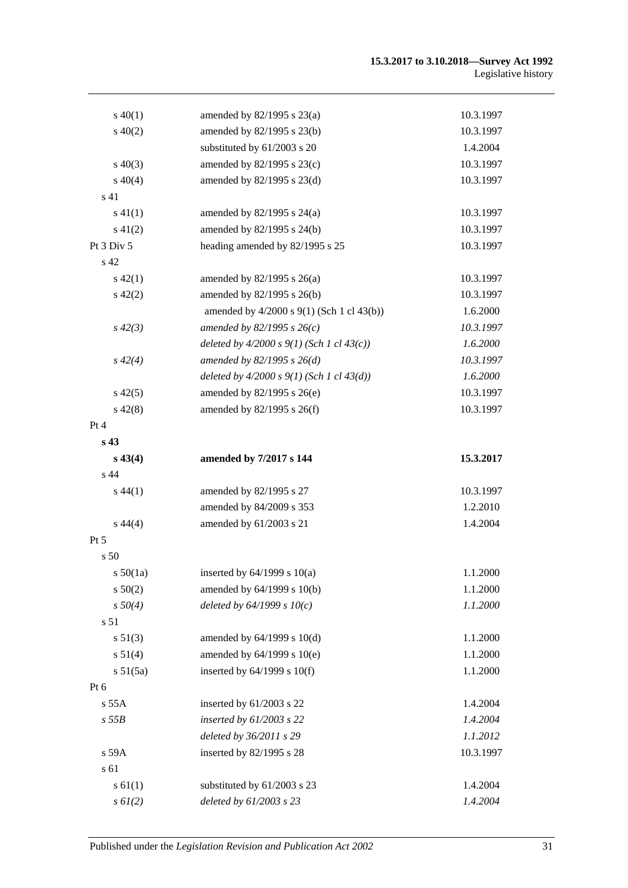#### **15.3.2017 to 3.10.2018—Survey Act 1992** Legislative history

| $s\ 40(1)$      | amended by $82/1995$ s $23(a)$                 | 10.3.1997 |
|-----------------|------------------------------------------------|-----------|
| $s\ 40(2)$      | amended by 82/1995 s 23(b)                     | 10.3.1997 |
|                 | substituted by 61/2003 s 20                    | 1.4.2004  |
| $s\ 40(3)$      | amended by 82/1995 s 23(c)                     | 10.3.1997 |
| $s\ 40(4)$      | amended by 82/1995 s 23(d)                     | 10.3.1997 |
| s 41            |                                                |           |
| $s\ 41(1)$      | amended by $82/1995$ s $24(a)$                 | 10.3.1997 |
| $s\ 41(2)$      | amended by 82/1995 s 24(b)                     | 10.3.1997 |
| Pt 3 Div 5      | heading amended by 82/1995 s 25                | 10.3.1997 |
| s 42            |                                                |           |
| $s\,42(1)$      | amended by $82/1995$ s $26(a)$                 | 10.3.1997 |
| $s\ 42(2)$      | amended by 82/1995 s 26(b)                     | 10.3.1997 |
|                 | amended by 4/2000 s 9(1) (Sch 1 cl 43(b))      | 1.6.2000  |
| $s\,42(3)$      | amended by 82/1995 s $26(c)$                   | 10.3.1997 |
|                 | deleted by $4/2000 s 9(1)$ (Sch 1 cl $43(c)$ ) | 1.6.2000  |
| $s\,42(4)$      | amended by $82/1995 s 26(d)$                   | 10.3.1997 |
|                 | deleted by $4/2000 s 9(1)$ (Sch 1 cl $43(d)$ ) | 1.6.2000  |
| $s\,42(5)$      | amended by 82/1995 s 26(e)                     | 10.3.1997 |
| $s\,42(8)$      | amended by $82/1995$ s $26(f)$                 | 10.3.1997 |
| Pt 4            |                                                |           |
| s 43            |                                                |           |
| $s\,43(4)$      | amended by 7/2017 s 144                        | 15.3.2017 |
| s 44            |                                                |           |
| $s\,44(1)$      | amended by 82/1995 s 27                        | 10.3.1997 |
|                 | amended by 84/2009 s 353                       | 1.2.2010  |
| $s\,44(4)$      | amended by 61/2003 s 21                        | 1.4.2004  |
| Pt 5            |                                                |           |
| s 50            |                                                |           |
| $s\,50(1a)$     | inserted by $64/1999$ s $10(a)$                | 1.1.2000  |
| s 50(2)         | amended by 64/1999 s 10(b)                     | 1.1.2000  |
| $s\,50(4)$      | deleted by $64/1999 s 10(c)$                   | 1.1.2000  |
| s <sub>51</sub> |                                                |           |
| s 51(3)         | amended by $64/1999$ s $10(d)$                 | 1.1.2000  |
| s 51(4)         | amended by 64/1999 s 10(e)                     | 1.1.2000  |
| s 51(5a)        | inserted by 64/1999 s 10(f)                    | 1.1.2000  |
| Pt 6            |                                                |           |
| $s$ 55 $A$      | inserted by 61/2003 s 22                       | 1.4.2004  |
| $s$ 55 $B$      | inserted by $61/2003$ s 22                     | 1.4.2004  |
|                 | deleted by 36/2011 s 29                        | 1.1.2012  |
| s 59A           | inserted by 82/1995 s 28                       | 10.3.1997 |
| s 61            |                                                |           |
| s 61(1)         | substituted by 61/2003 s 23                    | 1.4.2004  |
| $s \, 6l(2)$    | deleted by 61/2003 s 23                        | 1.4.2004  |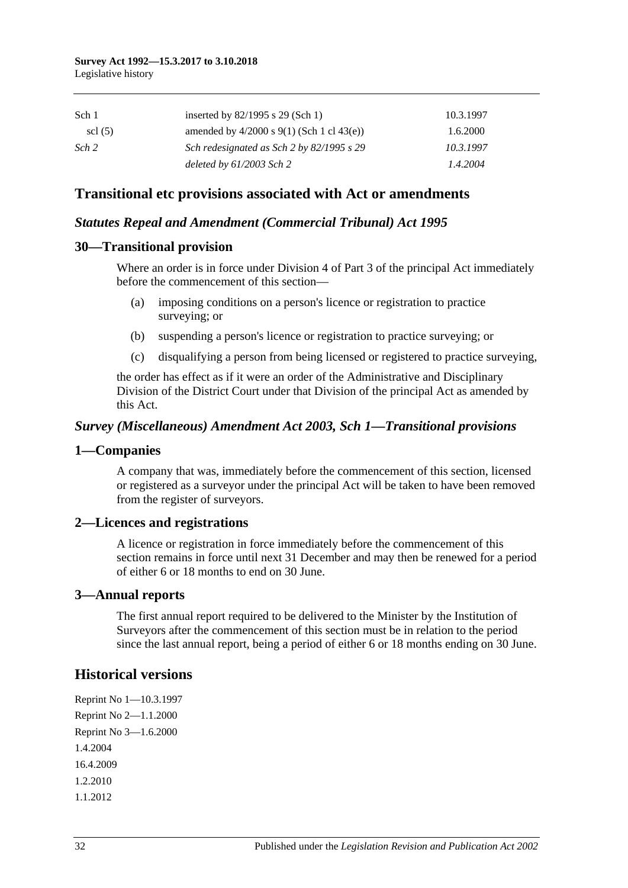| Sch 1            | inserted by $82/1995$ s 29 (Sch 1)               | 10.3.1997 |
|------------------|--------------------------------------------------|-----------|
| $\text{cl}(5)$   | amended by $4/2000$ s $9(1)$ (Sch 1 cl $43(e)$ ) | 1.6.2000  |
| Sch <sub>2</sub> | Sch redesignated as Sch 2 by 82/1995 s 29        | 10.3.1997 |
|                  | deleted by $61/2003$ Sch 2                       | 1.4.2004  |

# **Transitional etc provisions associated with Act or amendments**

#### *Statutes Repeal and Amendment (Commercial Tribunal) Act 1995*

#### **30—Transitional provision**

Where an order is in force under Division 4 of Part 3 of the principal Act immediately before the commencement of this section—

- (a) imposing conditions on a person's licence or registration to practice surveying; or
- (b) suspending a person's licence or registration to practice surveying; or
- (c) disqualifying a person from being licensed or registered to practice surveying,

the order has effect as if it were an order of the Administrative and Disciplinary Division of the District Court under that Division of the principal Act as amended by this Act.

#### *Survey (Miscellaneous) Amendment Act 2003, Sch 1—Transitional provisions*

#### **1—Companies**

A company that was, immediately before the commencement of this section, licensed or registered as a surveyor under the principal Act will be taken to have been removed from the register of surveyors.

#### **2—Licences and registrations**

A licence or registration in force immediately before the commencement of this section remains in force until next 31 December and may then be renewed for a period of either 6 or 18 months to end on 30 June.

#### **3—Annual reports**

The first annual report required to be delivered to the Minister by the Institution of Surveyors after the commencement of this section must be in relation to the period since the last annual report, being a period of either 6 or 18 months ending on 30 June.

# **Historical versions**

Reprint No 1—10.3.1997 Reprint No 2—1.1.2000 Reprint No 3—1.6.2000 1.4.2004 16.4.2009 1.2.2010 1.1.2012